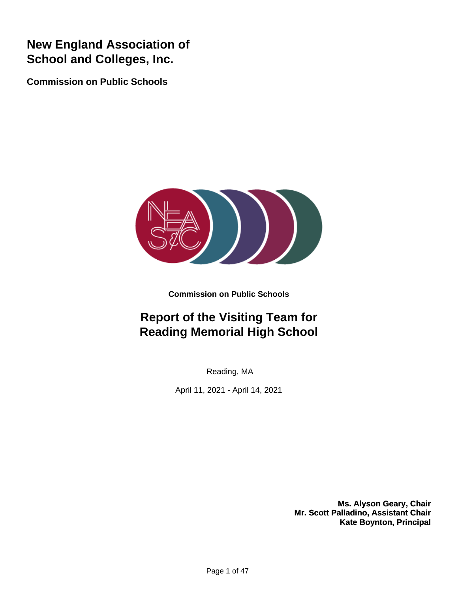# **New England Association of School and Colleges, Inc.**

**Commission on Public Schools**



**Commission on Public Schools**

# **Report of the Visiting Team for Reading Memorial High School**

Reading, MA

April 11, 2021 - April 14, 2021

**Ms. Alyson Geary, Chair Mr. Scott Palladino, Assistant Chair Kate Boynton, Principal**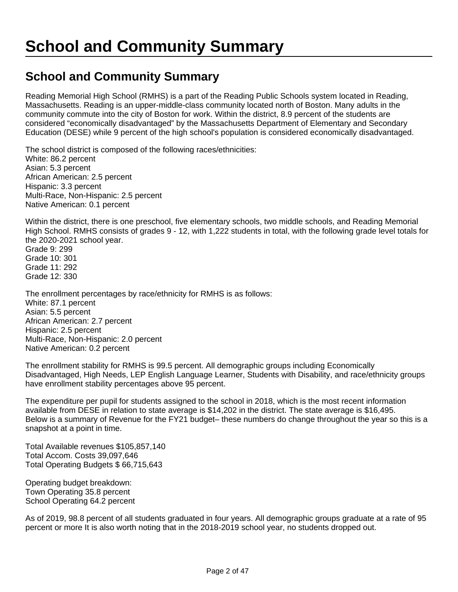## **School and Community Summary**

Reading Memorial High School (RMHS) is a part of the Reading Public Schools system located in Reading, Massachusetts. Reading is an upper-middle-class community located north of Boston. Many adults in the community commute into the city of Boston for work. Within the district, 8.9 percent of the students are considered "economically disadvantaged" by the Massachusetts Department of Elementary and Secondary Education (DESE) while 9 percent of the high school's population is considered economically disadvantaged.

The school district is composed of the following races/ethnicities: White: 86.2 percent Asian: 5.3 percent African American: 2.5 percent Hispanic: 3.3 percent Multi-Race, Non-Hispanic: 2.5 percent Native American: 0.1 percent

Within the district, there is one preschool, five elementary schools, two middle schools, and Reading Memorial High School. RMHS consists of grades 9 - 12, with 1,222 students in total, with the following grade level totals for the 2020-2021 school year.

Grade 9: 299 Grade 10: 301 Grade 11: 292 Grade 12: 330

The enrollment percentages by race/ethnicity for RMHS is as follows: White: 87.1 percent Asian: 5.5 percent African American: 2.7 percent Hispanic: 2.5 percent Multi-Race, Non-Hispanic: 2.0 percent Native American: 0.2 percent

The enrollment stability for RMHS is 99.5 percent. All demographic groups including Economically Disadvantaged, High Needs, LEP English Language Learner, Students with Disability, and race/ethnicity groups have enrollment stability percentages above 95 percent.

The expenditure per pupil for students assigned to the school in 2018, which is the most recent information available from DESE in relation to state average is \$14,202 in the district. The state average is \$16,495. Below is a summary of Revenue for the FY21 budget– these numbers do change throughout the year so this is a snapshot at a point in time.

Total Available revenues \$105,857,140 Total Accom. Costs 39,097,646 Total Operating Budgets \$ 66,715,643

Operating budget breakdown: Town Operating 35.8 percent School Operating 64.2 percent

As of 2019, 98.8 percent of all students graduated in four years. All demographic groups graduate at a rate of 95 percent or more It is also worth noting that in the 2018-2019 school year, no students dropped out.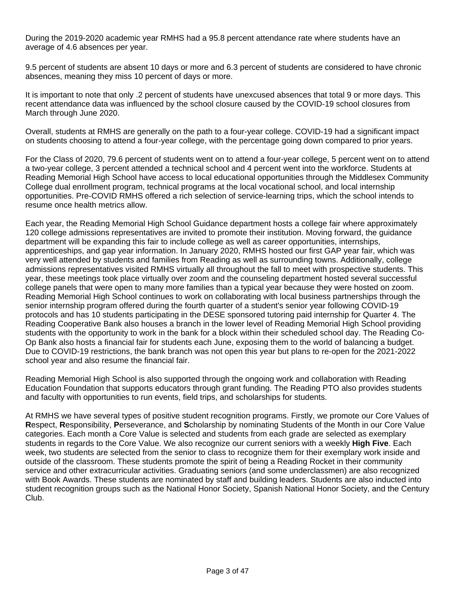During the 2019-2020 academic year RMHS had a 95.8 percent attendance rate where students have an average of 4.6 absences per year.

9.5 percent of students are absent 10 days or more and 6.3 percent of students are considered to have chronic absences, meaning they miss 10 percent of days or more.

It is important to note that only .2 percent of students have unexcused absences that total 9 or more days. This recent attendance data was influenced by the school closure caused by the COVID-19 school closures from March through June 2020.

Overall, students at RMHS are generally on the path to a four-year college. COVID-19 had a significant impact on students choosing to attend a four-year college, with the percentage going down compared to prior years.

For the Class of 2020, 79.6 percent of students went on to attend a four-year college, 5 percent went on to attend a two-year college, 3 percent attended a technical school and 4 percent went into the workforce. Students at Reading Memorial High School have access to local educational opportunities through the Middlesex Community College dual enrollment program, technical programs at the local vocational school, and local internship opportunities. Pre-COVID RMHS offered a rich selection of service-learning trips, which the school intends to resume once health metrics allow.

Each year, the Reading Memorial High School Guidance department hosts a college fair where approximately 120 college admissions representatives are invited to promote their institution. Moving forward, the guidance department will be expanding this fair to include college as well as career opportunities, internships, apprenticeships, and gap year information. In January 2020, RMHS hosted our first GAP year fair, which was very well attended by students and families from Reading as well as surrounding towns. Additionally, college admissions representatives visited RMHS virtually all throughout the fall to meet with prospective students. This year, these meetings took place virtually over zoom and the counseling department hosted several successful college panels that were open to many more families than a typical year because they were hosted on zoom. Reading Memorial High School continues to work on collaborating with local business partnerships through the senior internship program offered during the fourth quarter of a student's senior year following COVID-19 protocols and has 10 students participating in the DESE sponsored tutoring paid internship for Quarter 4. The Reading Cooperative Bank also houses a branch in the lower level of Reading Memorial High School providing students with the opportunity to work in the bank for a block within their scheduled school day. The Reading Co-Op Bank also hosts a financial fair for students each June, exposing them to the world of balancing a budget. Due to COVID-19 restrictions, the bank branch was not open this year but plans to re-open for the 2021-2022 school year and also resume the financial fair.

Reading Memorial High School is also supported through the ongoing work and collaboration with Reading Education Foundation that supports educators through grant funding. The Reading PTO also provides students and faculty with opportunities to run events, field trips, and scholarships for students.

At RMHS we have several types of positive student recognition programs. Firstly, we promote our Core Values of **R**espect, **R**esponsibility, **P**erseverance, and **S**cholarship by nominating Students of the Month in our Core Value categories. Each month a Core Value is selected and students from each grade are selected as exemplary students in regards to the Core Value. We also recognize our current seniors with a weekly **High Five**. Each week, two students are selected from the senior to class to recognize them for their exemplary work inside and outside of the classroom. These students promote the spirit of being a Reading Rocket in their community service and other extracurricular activities. Graduating seniors (and some underclassmen) are also recognized with Book Awards. These students are nominated by staff and building leaders. Students are also inducted into student recognition groups such as the National Honor Society, Spanish National Honor Society, and the Century Club.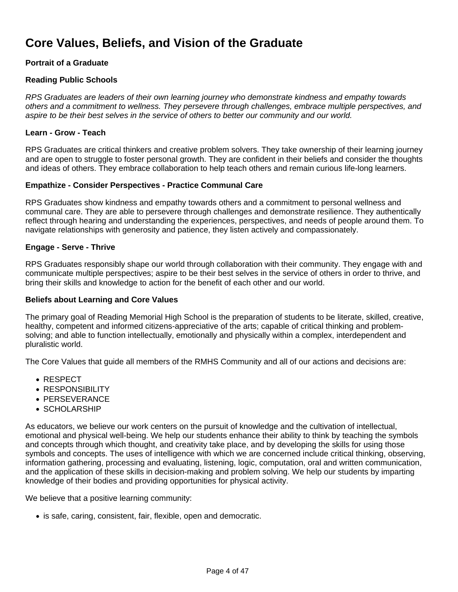## **Core Values, Beliefs, and Vision of the Graduate**

#### **Portrait of a Graduate**

#### **Reading Public Schools**

RPS Graduates are leaders of their own learning journey who demonstrate kindness and empathy towards others and a commitment to wellness. They persevere through challenges, embrace multiple perspectives, and aspire to be their best selves in the service of others to better our community and our world.

#### **Learn - Grow - Teach**

RPS Graduates are critical thinkers and creative problem solvers. They take ownership of their learning journey and are open to struggle to foster personal growth. They are confident in their beliefs and consider the thoughts and ideas of others. They embrace collaboration to help teach others and remain curious life-long learners.

#### **Empathize - Consider Perspectives - Practice Communal Care**

RPS Graduates show kindness and empathy towards others and a commitment to personal wellness and communal care. They are able to persevere through challenges and demonstrate resilience. They authentically reflect through hearing and understanding the experiences, perspectives, and needs of people around them. To navigate relationships with generosity and patience, they listen actively and compassionately.

#### **Engage - Serve - Thrive**

RPS Graduates responsibly shape our world through collaboration with their community. They engage with and communicate multiple perspectives; aspire to be their best selves in the service of others in order to thrive, and bring their skills and knowledge to action for the benefit of each other and our world.

#### **Beliefs about Learning and Core Values**

The primary goal of Reading Memorial High School is the preparation of students to be literate, skilled, creative, healthy, competent and informed citizens-appreciative of the arts; capable of critical thinking and problemsolving; and able to function intellectually, emotionally and physically within a complex, interdependent and pluralistic world.

The Core Values that guide all members of the RMHS Community and all of our actions and decisions are:

- RESPECT
- RESPONSIBILITY
- **PERSEVERANCE**
- SCHOLARSHIP

As educators, we believe our work centers on the pursuit of knowledge and the cultivation of intellectual, emotional and physical well-being. We help our students enhance their ability to think by teaching the symbols and concepts through which thought, and creativity take place, and by developing the skills for using those symbols and concepts. The uses of intelligence with which we are concerned include critical thinking, observing, information gathering, processing and evaluating, listening, logic, computation, oral and written communication, and the application of these skills in decision-making and problem solving. We help our students by imparting knowledge of their bodies and providing opportunities for physical activity.

We believe that a positive learning community:

• is safe, caring, consistent, fair, flexible, open and democratic.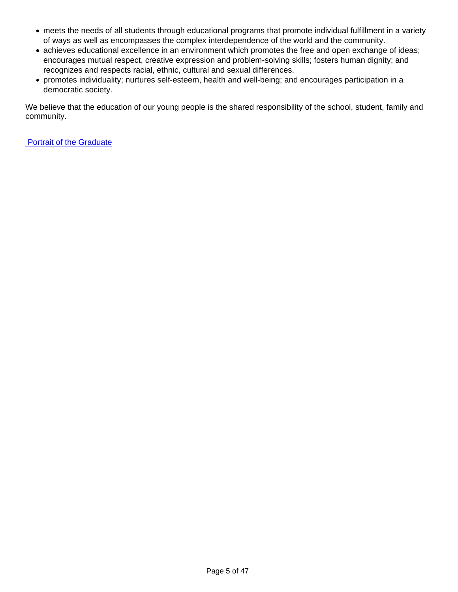- meets the needs of all students through educational programs that promote individual fulfillment in a variety of ways as well as encompasses the complex interdependence of the world and the community.
- achieves educational excellence in an environment which promotes the free and open exchange of ideas; encourages mutual respect, creative expression and problem-solving skills; fosters human dignity; and recognizes and respects racial, ethnic, cultural and sexual differences.
- promotes individuality; nurtures self-esteem, health and well-being; and encourages participation in a democratic society.

We believe that the education of our young people is the shared responsibility of the school, student, family and community.

[Portrait of the Graduate](https://docs.google.com/document/d/1th3zDDq18NxkFZxPY8YSSz459NHYiCTQ6AJbUuNvJbo/edit?usp=sharing)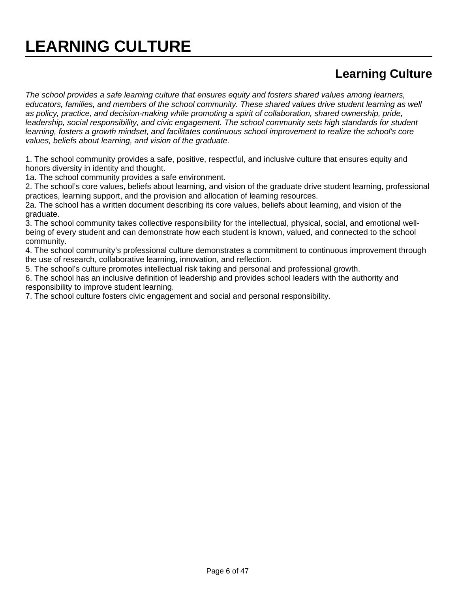## **Learning Culture**

The school provides a safe learning culture that ensures equity and fosters shared values among learners, educators, families, and members of the school community. These shared values drive student learning as well as policy, practice, and decision-making while promoting a spirit of collaboration, shared ownership, pride, leadership, social responsibility, and civic engagement. The school community sets high standards for student learning, fosters a growth mindset, and facilitates continuous school improvement to realize the school's core values, beliefs about learning, and vision of the graduate.

1. The school community provides a safe, positive, respectful, and inclusive culture that ensures equity and honors diversity in identity and thought.

1a. The school community provides a safe environment.

2. The school's core values, beliefs about learning, and vision of the graduate drive student learning, professional practices, learning support, and the provision and allocation of learning resources.

2a. The school has a written document describing its core values, beliefs about learning, and vision of the graduate.

3. The school community takes collective responsibility for the intellectual, physical, social, and emotional wellbeing of every student and can demonstrate how each student is known, valued, and connected to the school community.

4. The school community's professional culture demonstrates a commitment to continuous improvement through the use of research, collaborative learning, innovation, and reflection.

5. The school's culture promotes intellectual risk taking and personal and professional growth.

6. The school has an inclusive definition of leadership and provides school leaders with the authority and responsibility to improve student learning.

7. The school culture fosters civic engagement and social and personal responsibility.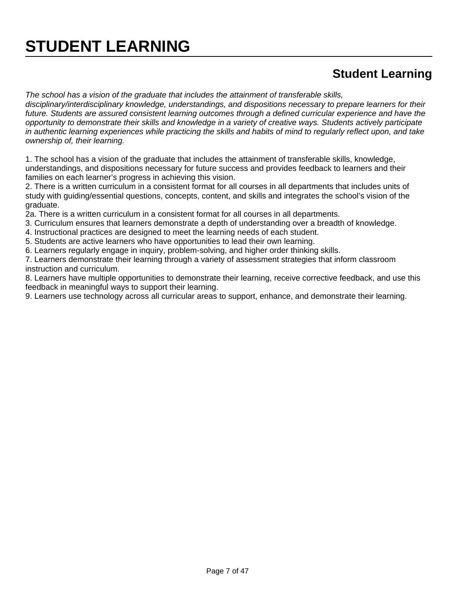# **STUDENT LEARNING**

### **Student Learning**

The school has a vision of the graduate that includes the attainment of transferable skills, disciplinary/interdisciplinary knowledge, understandings, and dispositions necessary to prepare learners for their future. Students are assured consistent learning outcomes through a defined curricular experience and have the opportunity to demonstrate their skills and knowledge in a variety of creative ways. Students actively participate in authentic learning experiences while practicing the skills and habits of mind to regularly reflect upon, and take ownership of, their learning.

1. The school has a vision of the graduate that includes the attainment of transferable skills, knowledge, understandings, and dispositions necessary for future success and provides feedback to learners and their families on each learner's progress in achieving this vision.

2. There is a written curriculum in a consistent format for all courses in all departments that includes units of study with guiding/essential questions, concepts, content, and skills and integrates the school's vision of the graduate.

2a. There is a written curriculum in a consistent format for all courses in all departments.

- 3. Curriculum ensures that learners demonstrate a depth of understanding over a breadth of knowledge.
- 4. Instructional practices are designed to meet the learning needs of each student.
- 5. Students are active learners who have opportunities to lead their own learning.
- 6. Learners regularly engage in inquiry, problem-solving, and higher order thinking skills.

7. Learners demonstrate their learning through a variety of assessment strategies that inform classroom instruction and curriculum.

8. Learners have multiple opportunities to demonstrate their learning, receive corrective feedback, and use this feedback in meaningful ways to support their learning.

9. Learners use technology across all curricular areas to support, enhance, and demonstrate their learning.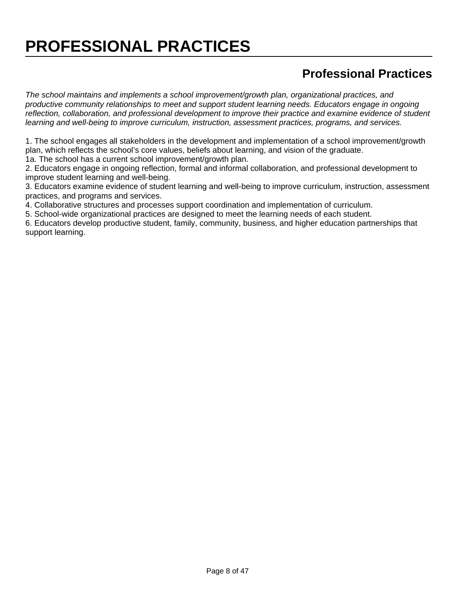# **PROFESSIONAL PRACTICES**

## **Professional Practices**

The school maintains and implements a school improvement/growth plan, organizational practices, and productive community relationships to meet and support student learning needs. Educators engage in ongoing reflection, collaboration, and professional development to improve their practice and examine evidence of student learning and well-being to improve curriculum, instruction, assessment practices, programs, and services.

1. The school engages all stakeholders in the development and implementation of a school improvement/growth plan, which reflects the school's core values, beliefs about learning, and vision of the graduate. 1a. The school has a current school improvement/growth plan.

2. Educators engage in ongoing reflection, formal and informal collaboration, and professional development to improve student learning and well-being.

3. Educators examine evidence of student learning and well-being to improve curriculum, instruction, assessment practices, and programs and services.

4. Collaborative structures and processes support coordination and implementation of curriculum.

5. School-wide organizational practices are designed to meet the learning needs of each student.

6. Educators develop productive student, family, community, business, and higher education partnerships that support learning.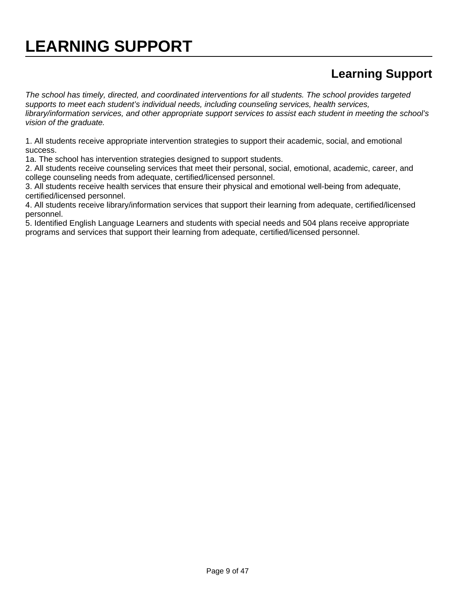# **Learning Support**

The school has timely, directed, and coordinated interventions for all students. The school provides targeted supports to meet each student's individual needs, including counseling services, health services, library/information services, and other appropriate support services to assist each student in meeting the school's vision of the graduate.

1. All students receive appropriate intervention strategies to support their academic, social, and emotional success.

1a. The school has intervention strategies designed to support students.

2. All students receive counseling services that meet their personal, social, emotional, academic, career, and college counseling needs from adequate, certified/licensed personnel.

3. All students receive health services that ensure their physical and emotional well-being from adequate, certified/licensed personnel.

4. All students receive library/information services that support their learning from adequate, certified/licensed personnel.

5. Identified English Language Learners and students with special needs and 504 plans receive appropriate programs and services that support their learning from adequate, certified/licensed personnel.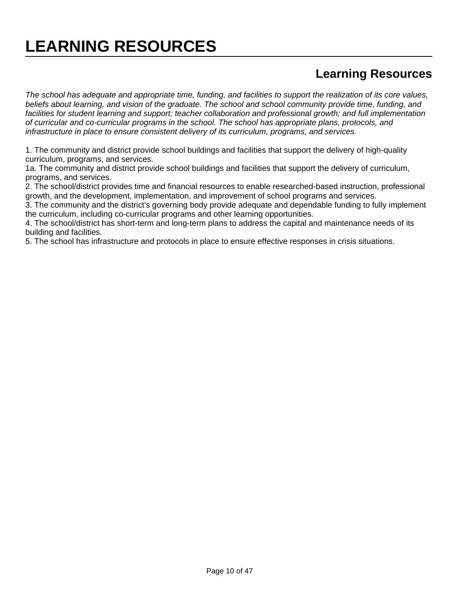# **LEARNING RESOURCES**

### **Learning Resources**

The school has adequate and appropriate time, funding, and facilities to support the realization of its core values, beliefs about learning, and vision of the graduate. The school and school community provide time, funding, and facilities for student learning and support; teacher collaboration and professional growth; and full implementation of curricular and co-curricular programs in the school. The school has appropriate plans, protocols, and infrastructure in place to ensure consistent delivery of its curriculum, programs, and services.

1. The community and district provide school buildings and facilities that support the delivery of high-quality curriculum, programs, and services.

1a. The community and district provide school buildings and facilities that support the delivery of curriculum, programs, and services.

2. The school/district provides time and financial resources to enable researched-based instruction, professional growth, and the development, implementation, and improvement of school programs and services.

3. The community and the district's governing body provide adequate and dependable funding to fully implement the curriculum, including co-curricular programs and other learning opportunities.

4. The school/district has short-term and long-term plans to address the capital and maintenance needs of its building and facilities.

5. The school has infrastructure and protocols in place to ensure effective responses in crisis situations.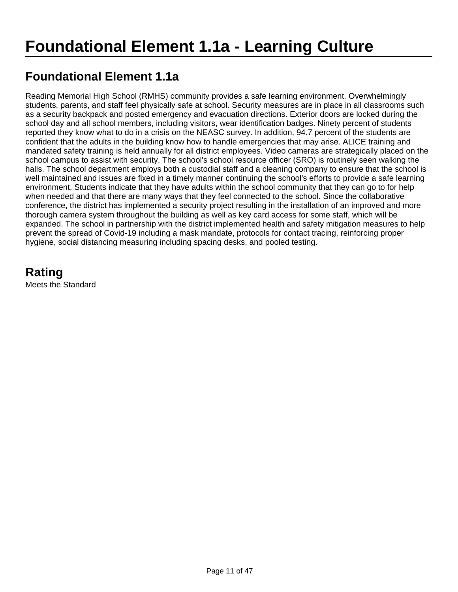## **Foundational Element 1.1a**

Reading Memorial High School (RMHS) community provides a safe learning environment. Overwhelmingly students, parents, and staff feel physically safe at school. Security measures are in place in all classrooms such as a security backpack and posted emergency and evacuation directions. Exterior doors are locked during the school day and all school members, including visitors, wear identification badges. Ninety percent of students reported they know what to do in a crisis on the NEASC survey. In addition, 94.7 percent of the students are confident that the adults in the building know how to handle emergencies that may arise. ALICE training and mandated safety training is held annually for all district employees. Video cameras are strategically placed on the school campus to assist with security. The school's school resource officer (SRO) is routinely seen walking the halls. The school department employs both a custodial staff and a cleaning company to ensure that the school is well maintained and issues are fixed in a timely manner continuing the school's efforts to provide a safe learning environment. Students indicate that they have adults within the school community that they can go to for help when needed and that there are many ways that they feel connected to the school. Since the collaborative conference, the district has implemented a security project resulting in the installation of an improved and more thorough camera system throughout the building as well as key card access for some staff, which will be expanded. The school in partnership with the district implemented health and safety mitigation measures to help prevent the spread of Covid-19 including a mask mandate, protocols for contact tracing, reinforcing proper hygiene, social distancing measuring including spacing desks, and pooled testing.

**Rating** Meets the Standard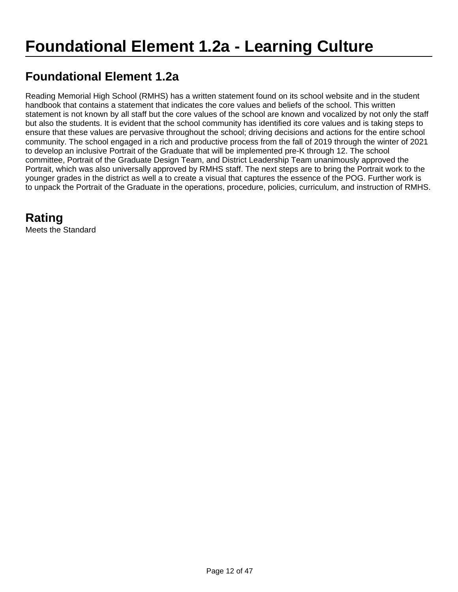### **Foundational Element 1.2a**

Reading Memorial High School (RMHS) has a written statement found on its school website and in the student handbook that contains a statement that indicates the core values and beliefs of the school. This written statement is not known by all staff but the core values of the school are known and vocalized by not only the staff but also the students. It is evident that the school community has identified its core values and is taking steps to ensure that these values are pervasive throughout the school; driving decisions and actions for the entire school community. The school engaged in a rich and productive process from the fall of 2019 through the winter of 2021 to develop an inclusive Portrait of the Graduate that will be implemented pre-K through 12. The school committee, Portrait of the Graduate Design Team, and District Leadership Team unanimously approved the Portrait, which was also universally approved by RMHS staff. The next steps are to bring the Portrait work to the younger grades in the district as well a to create a visual that captures the essence of the POG. Further work is to unpack the Portrait of the Graduate in the operations, procedure, policies, curriculum, and instruction of RMHS.

### **Rating**

Meets the Standard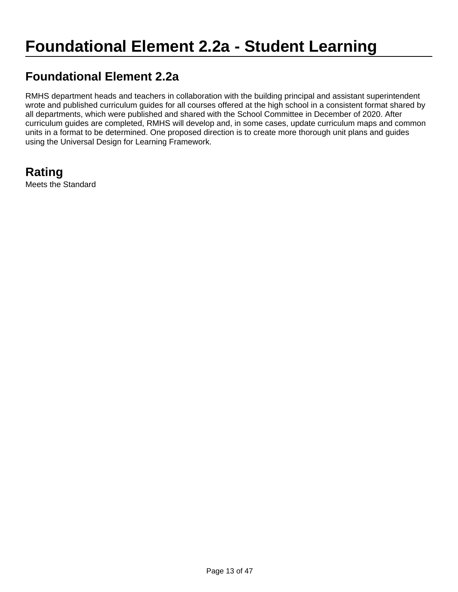### **Foundational Element 2.2a**

RMHS department heads and teachers in collaboration with the building principal and assistant superintendent wrote and published curriculum guides for all courses offered at the high school in a consistent format shared by all departments, which were published and shared with the School Committee in December of 2020. After curriculum guides are completed, RMHS will develop and, in some cases, update curriculum maps and common units in a format to be determined. One proposed direction is to create more thorough unit plans and guides using the Universal Design for Learning Framework.

# **Rating**

Meets the Standard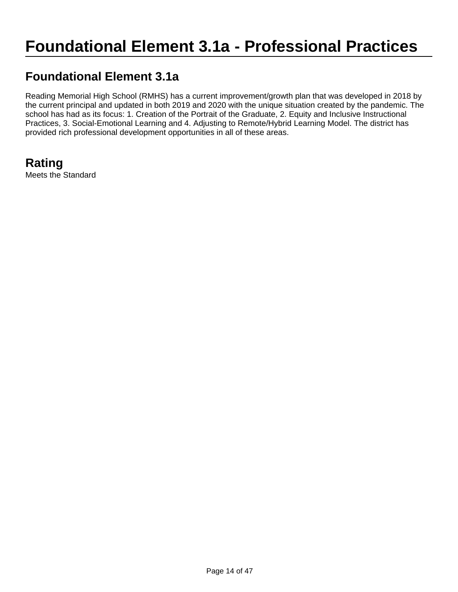# **Foundational Element 3.1a - Professional Practices**

### **Foundational Element 3.1a**

Reading Memorial High School (RMHS) has a current improvement/growth plan that was developed in 2018 by the current principal and updated in both 2019 and 2020 with the unique situation created by the pandemic. The school has had as its focus: 1. Creation of the Portrait of the Graduate, 2. Equity and Inclusive Instructional Practices, 3. Social-Emotional Learning and 4. Adjusting to Remote/Hybrid Learning Model. The district has provided rich professional development opportunities in all of these areas.

**Rating** Meets the Standard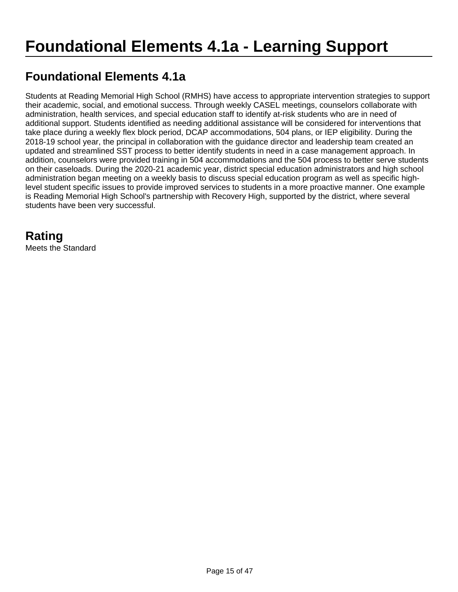## **Foundational Elements 4.1a**

Students at Reading Memorial High School (RMHS) have access to appropriate intervention strategies to support their academic, social, and emotional success. Through weekly CASEL meetings, counselors collaborate with administration, health services, and special education staff to identify at-risk students who are in need of additional support. Students identified as needing additional assistance will be considered for interventions that take place during a weekly flex block period, DCAP accommodations, 504 plans, or IEP eligibility. During the 2018-19 school year, the principal in collaboration with the guidance director and leadership team created an updated and streamlined SST process to better identify students in need in a case management approach. In addition, counselors were provided training in 504 accommodations and the 504 process to better serve students on their caseloads. During the 2020-21 academic year, district special education administrators and high school administration began meeting on a weekly basis to discuss special education program as well as specific highlevel student specific issues to provide improved services to students in a more proactive manner. One example is Reading Memorial High School's partnership with Recovery High, supported by the district, where several students have been very successful.

## **Rating**

Meets the Standard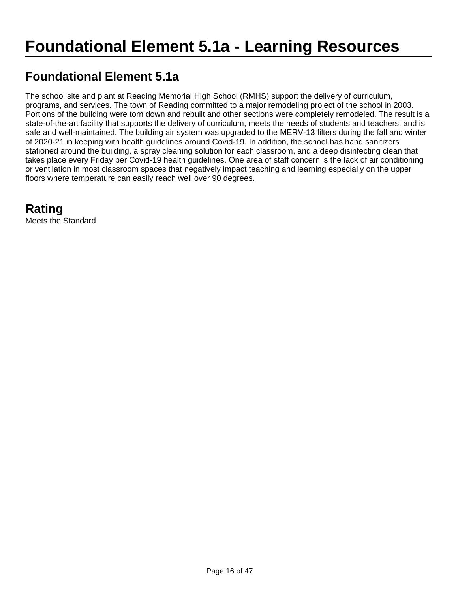### **Foundational Element 5.1a**

The school site and plant at Reading Memorial High School (RMHS) support the delivery of curriculum, programs, and services. The town of Reading committed to a major remodeling project of the school in 2003. Portions of the building were torn down and rebuilt and other sections were completely remodeled. The result is a state-of-the-art facility that supports the delivery of curriculum, meets the needs of students and teachers, and is safe and well-maintained. The building air system was upgraded to the MERV-13 filters during the fall and winter of 2020-21 in keeping with health guidelines around Covid-19. In addition, the school has hand sanitizers stationed around the building, a spray cleaning solution for each classroom, and a deep disinfecting clean that takes place every Friday per Covid-19 health guidelines. One area of staff concern is the lack of air conditioning or ventilation in most classroom spaces that negatively impact teaching and learning especially on the upper floors where temperature can easily reach well over 90 degrees.

## **Rating**

Meets the Standard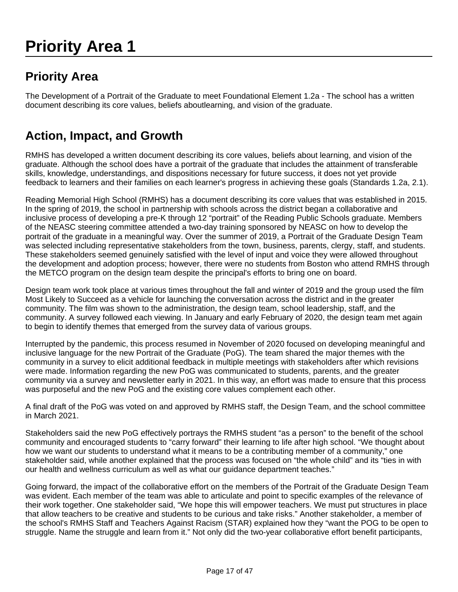# **Priority Area 1**

## **Priority Area**

The Development of a Portrait of the Graduate to meet Foundational Element 1.2a - The school has a written document describing its core values, beliefs aboutlearning, and vision of the graduate.

## **Action, Impact, and Growth**

RMHS has developed a written document describing its core values, beliefs about learning, and vision of the graduate. Although the school does have a portrait of the graduate that includes the attainment of transferable skills, knowledge, understandings, and dispositions necessary for future success, it does not yet provide feedback to learners and their families on each learner's progress in achieving these goals (Standards 1.2a, 2.1).

Reading Memorial High School (RMHS) has a document describing its core values that was established in 2015. In the spring of 2019, the school in partnership with schools across the district began a collaborative and inclusive process of developing a pre-K through 12 "portrait" of the Reading Public Schools graduate. Members of the NEASC steering committee attended a two-day training sponsored by NEASC on how to develop the portrait of the graduate in a meaningful way. Over the summer of 2019, a Portrait of the Graduate Design Team was selected including representative stakeholders from the town, business, parents, clergy, staff, and students. These stakeholders seemed genuinely satisfied with the level of input and voice they were allowed throughout the development and adoption process; however, there were no students from Boston who attend RMHS through the METCO program on the design team despite the principal's efforts to bring one on board.

Design team work took place at various times throughout the fall and winter of 2019 and the group used the film Most Likely to Succeed as a vehicle for launching the conversation across the district and in the greater community. The film was shown to the administration, the design team, school leadership, staff, and the community. A survey followed each viewing. In January and early February of 2020, the design team met again to begin to identify themes that emerged from the survey data of various groups.

Interrupted by the pandemic, this process resumed in November of 2020 focused on developing meaningful and inclusive language for the new Portrait of the Graduate (PoG). The team shared the major themes with the community in a survey to elicit additional feedback in multiple meetings with stakeholders after which revisions were made. Information regarding the new PoG was communicated to students, parents, and the greater community via a survey and newsletter early in 2021. In this way, an effort was made to ensure that this process was purposeful and the new PoG and the existing core values complement each other.

A final draft of the PoG was voted on and approved by RMHS staff, the Design Team, and the school committee in March 2021.

Stakeholders said the new PoG effectively portrays the RMHS student "as a person" to the benefit of the school community and encouraged students to "carry forward" their learning to life after high school. "We thought about how we want our students to understand what it means to be a contributing member of a community," one stakeholder said, while another explained that the process was focused on "the whole child" and its "ties in with our health and wellness curriculum as well as what our guidance department teaches."

Going forward, the impact of the collaborative effort on the members of the Portrait of the Graduate Design Team was evident. Each member of the team was able to articulate and point to specific examples of the relevance of their work together. One stakeholder said, "We hope this will empower teachers. We must put structures in place that allow teachers to be creative and students to be curious and take risks." Another stakeholder, a member of the school's RMHS Staff and Teachers Against Racism (STAR) explained how they "want the POG to be open to struggle. Name the struggle and learn from it." Not only did the two-year collaborative effort benefit participants,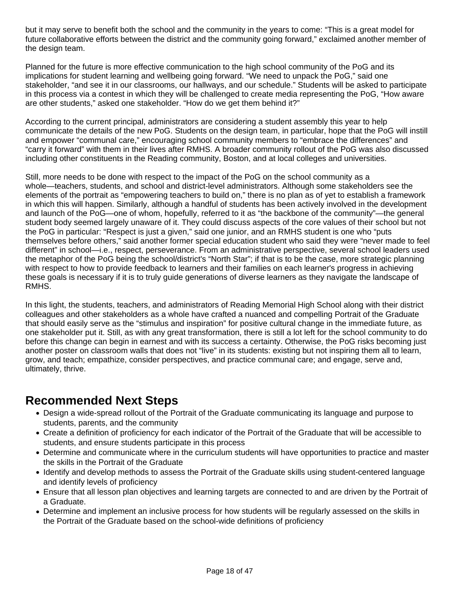but it may serve to benefit both the school and the community in the years to come: "This is a great model for future collaborative efforts between the district and the community going forward," exclaimed another member of the design team.

Planned for the future is more effective communication to the high school community of the PoG and its implications for student learning and wellbeing going forward. "We need to unpack the PoG," said one stakeholder, "and see it in our classrooms, our hallways, and our schedule." Students will be asked to participate in this process via a contest in which they will be challenged to create media representing the PoG, "How aware are other students," asked one stakeholder. "How do we get them behind it?"

According to the current principal, administrators are considering a student assembly this year to help communicate the details of the new PoG. Students on the design team, in particular, hope that the PoG will instill and empower "communal care," encouraging school community members to "embrace the differences" and "carry it forward" with them in their lives after RMHS. A broader community rollout of the PoG was also discussed including other constituents in the Reading community, Boston, and at local colleges and universities.

Still, more needs to be done with respect to the impact of the PoG on the school community as a whole—teachers, students, and school and district-level administrators. Although some stakeholders see the elements of the portrait as "empowering teachers to build on," there is no plan as of yet to establish a framework in which this will happen. Similarly, although a handful of students has been actively involved in the development and launch of the PoG—one of whom, hopefully, referred to it as "the backbone of the community"—the general student body seemed largely unaware of it. They could discuss aspects of the core values of their school but not the PoG in particular: "Respect is just a given," said one junior, and an RMHS student is one who "puts themselves before others," said another former special education student who said they were "never made to feel different" in school—i.e., respect, perseverance. From an administrative perspective, several school leaders used the metaphor of the PoG being the school/district's "North Star"; if that is to be the case, more strategic planning with respect to how to provide feedback to learners and their families on each learner's progress in achieving these goals is necessary if it is to truly guide generations of diverse learners as they navigate the landscape of RMHS.

In this light, the students, teachers, and administrators of Reading Memorial High School along with their district colleagues and other stakeholders as a whole have crafted a nuanced and compelling Portrait of the Graduate that should easily serve as the "stimulus and inspiration" for positive cultural change in the immediate future, as one stakeholder put it. Still, as with any great transformation, there is still a lot left for the school community to do before this change can begin in earnest and with its success a certainty. Otherwise, the PoG risks becoming just another poster on classroom walls that does not "live" in its students: existing but not inspiring them all to learn, grow, and teach; empathize, consider perspectives, and practice communal care; and engage, serve and, ultimately, thrive.

#### **Recommended Next Steps**

- Design a wide-spread rollout of the Portrait of the Graduate communicating its language and purpose to students, parents, and the community
- Create a definition of proficiency for each indicator of the Portrait of the Graduate that will be accessible to students, and ensure students participate in this process
- Determine and communicate where in the curriculum students will have opportunities to practice and master the skills in the Portrait of the Graduate
- Identify and develop methods to assess the Portrait of the Graduate skills using student-centered language and identify levels of proficiency
- Ensure that all lesson plan objectives and learning targets are connected to and are driven by the Portrait of a Graduate.
- Determine and implement an inclusive process for how students will be regularly assessed on the skills in the Portrait of the Graduate based on the school-wide definitions of proficiency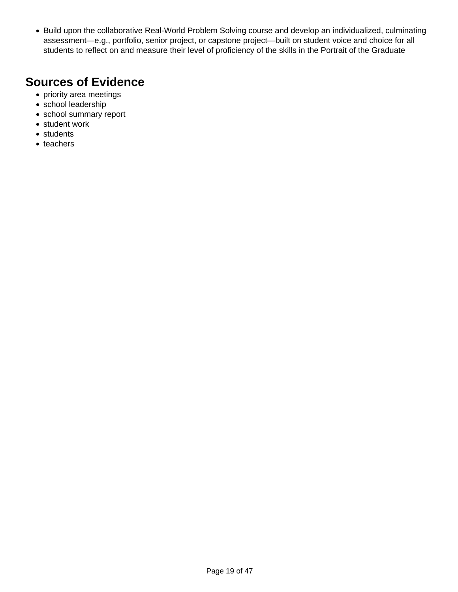• Build upon the collaborative Real-World Problem Solving course and develop an individualized, culminating assessment—e.g., portfolio, senior project, or capstone project—built on student voice and choice for all students to reflect on and measure their level of proficiency of the skills in the Portrait of the Graduate

#### **Sources of Evidence**

- priority area meetings
- school leadership
- school summary report
- student work
- students
- teachers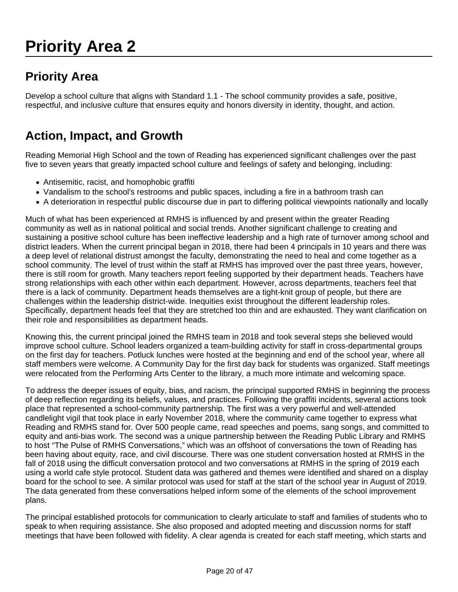# **Priority Area 2**

# **Priority Area**

Develop a school culture that aligns with Standard 1.1 - The school community provides a safe, positive, respectful, and inclusive culture that ensures equity and honors diversity in identity, thought, and action.

## **Action, Impact, and Growth**

Reading Memorial High School and the town of Reading has experienced significant challenges over the past five to seven years that greatly impacted school culture and feelings of safety and belonging, including:

- Antisemitic, racist, and homophobic graffiti
- Vandalism to the school's restrooms and public spaces, including a fire in a bathroom trash can
- A deterioration in respectful public discourse due in part to differing political viewpoints nationally and locally

Much of what has been experienced at RMHS is influenced by and present within the greater Reading community as well as in national political and social trends. Another significant challenge to creating and sustaining a positive school culture has been ineffective leadership and a high rate of turnover among school and district leaders. When the current principal began in 2018, there had been 4 principals in 10 years and there was a deep level of relational distrust amongst the faculty, demonstrating the need to heal and come together as a school community. The level of trust within the staff at RMHS has improved over the past three years, however, there is still room for growth. Many teachers report feeling supported by their department heads. Teachers have strong relationships with each other within each department. However, across departments, teachers feel that there is a lack of community. Department heads themselves are a tight-knit group of people, but there are challenges within the leadership district-wide. Inequities exist throughout the different leadership roles. Specifically, department heads feel that they are stretched too thin and are exhausted. They want clarification on their role and responsibilities as department heads.

Knowing this, the current principal joined the RMHS team in 2018 and took several steps she believed would improve school culture. School leaders organized a team-building activity for staff in cross-departmental groups on the first day for teachers. Potluck lunches were hosted at the beginning and end of the school year, where all staff members were welcome. A Community Day for the first day back for students was organized. Staff meetings were relocated from the Performing Arts Center to the library, a much more intimate and welcoming space.

To address the deeper issues of equity, bias, and racism, the principal supported RMHS in beginning the process of deep reflection regarding its beliefs, values, and practices. Following the graffiti incidents, several actions took place that represented a school-community partnership. The first was a very powerful and well-attended candlelight vigil that took place in early November 2018, where the community came together to express what Reading and RMHS stand for. Over 500 people came, read speeches and poems, sang songs, and committed to equity and anti-bias work. The second was a unique partnership between the Reading Public Library and RMHS to host "The Pulse of RMHS Conversations," which was an offshoot of conversations the town of Reading has been having about equity, race, and civil discourse. There was one student conversation hosted at RMHS in the fall of 2018 using the difficult conversation protocol and two conversations at RMHS in the spring of 2019 each using a world cafe style protocol. Student data was gathered and themes were identified and shared on a display board for the school to see. A similar protocol was used for staff at the start of the school year in August of 2019. The data generated from these conversations helped inform some of the elements of the school improvement plans.

The principal established protocols for communication to clearly articulate to staff and families of students who to speak to when requiring assistance. She also proposed and adopted meeting and discussion norms for staff meetings that have been followed with fidelity. A clear agenda is created for each staff meeting, which starts and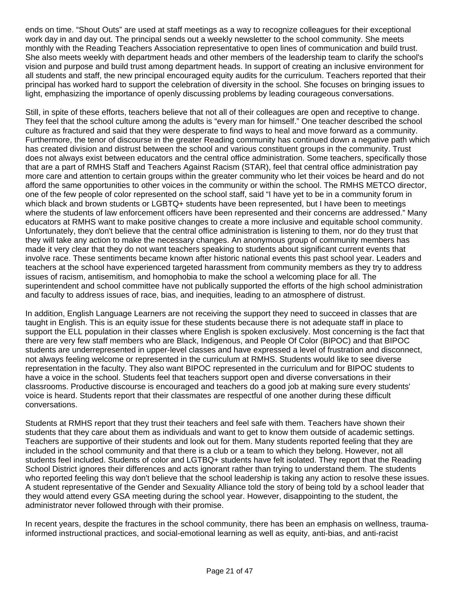ends on time. "Shout Outs" are used at staff meetings as a way to recognize colleagues for their exceptional work day in and day out. The principal sends out a weekly newsletter to the school community. She meets monthly with the Reading Teachers Association representative to open lines of communication and build trust. She also meets weekly with department heads and other members of the leadership team to clarify the school's vision and purpose and build trust among department heads. In support of creating an inclusive environment for all students and staff, the new principal encouraged equity audits for the curriculum. Teachers reported that their principal has worked hard to support the celebration of diversity in the school. She focuses on bringing issues to light, emphasizing the importance of openly discussing problems by leading courageous conversations.

Still, in spite of these efforts, teachers believe that not all of their colleagues are open and receptive to change. They feel that the school culture among the adults is "every man for himself." One teacher described the school culture as fractured and said that they were desperate to find ways to heal and move forward as a community. Furthermore, the tenor of discourse in the greater Reading community has continued down a negative path which has created division and distrust between the school and various constituent groups in the community. Trust does not always exist between educators and the central office administration. Some teachers, specifically those that are a part of RMHS Staff and Teachers Against Racism (STAR), feel that central office administration pay more care and attention to certain groups within the greater community who let their voices be heard and do not afford the same opportunities to other voices in the community or within the school. The RMHS METCO director, one of the few people of color represented on the school staff, said "I have yet to be in a community forum in which black and brown students or LGBTQ+ students have been represented, but I have been to meetings where the students of law enforcement officers have been represented and their concerns are addressed." Many educators at RMHS want to make positive changes to create a more inclusive and equitable school community. Unfortunately, they don't believe that the central office administration is listening to them, nor do they trust that they will take any action to make the necessary changes. An anonymous group of community members has made it very clear that they do not want teachers speaking to students about significant current events that involve race. These sentiments became known after historic national events this past school year. Leaders and teachers at the school have experienced targeted harassment from community members as they try to address issues of racism, antisemitism, and homophobia to make the school a welcoming place for all. The superintendent and school committee have not publically supported the efforts of the high school administration and faculty to address issues of race, bias, and inequities, leading to an atmosphere of distrust.

In addition, English Language Learners are not receiving the support they need to succeed in classes that are taught in English. This is an equity issue for these students because there is not adequate staff in place to support the ELL population in their classes where English is spoken exclusively. Most concerning is the fact that there are very few staff members who are Black, Indigenous, and People Of Color (BIPOC) and that BIPOC students are underrepresented in upper-level classes and have expressed a level of frustration and disconnect, not always feeling welcome or represented in the curriculum at RMHS. Students would like to see diverse representation in the faculty. They also want BIPOC represented in the curriculum and for BIPOC students to have a voice in the school. Students feel that teachers support open and diverse conversations in their classrooms. Productive discourse is encouraged and teachers do a good job at making sure every students' voice is heard. Students report that their classmates are respectful of one another during these difficult conversations.

Students at RMHS report that they trust their teachers and feel safe with them. Teachers have shown their students that they care about them as individuals and want to get to know them outside of academic settings. Teachers are supportive of their students and look out for them. Many students reported feeling that they are included in the school community and that there is a club or a team to which they belong. However, not all students feel included. Students of color and LGTBQ+ students have felt isolated. They report that the Reading School District ignores their differences and acts ignorant rather than trying to understand them. The students who reported feeling this way don't believe that the school leadership is taking any action to resolve these issues. A student representative of the Gender and Sexuality Alliance told the story of being told by a school leader that they would attend every GSA meeting during the school year. However, disappointing to the student, the administrator never followed through with their promise.

In recent years, despite the fractures in the school community, there has been an emphasis on wellness, traumainformed instructional practices, and social-emotional learning as well as equity, anti-bias, and anti-racist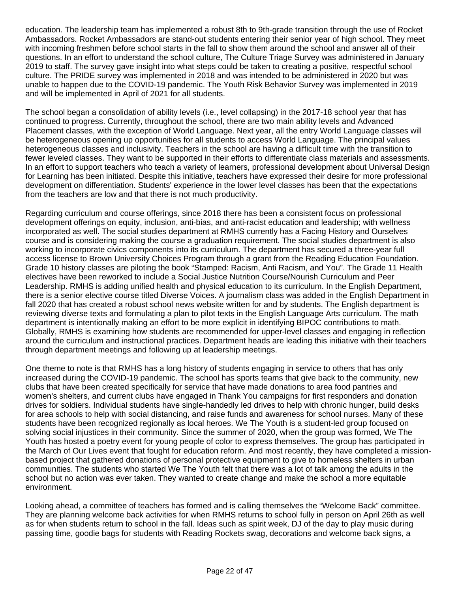education. The leadership team has implemented a robust 8th to 9th-grade transition through the use of Rocket Ambassadors. Rocket Ambassadors are stand-out students entering their senior year of high school. They meet with incoming freshmen before school starts in the fall to show them around the school and answer all of their questions. In an effort to understand the school culture, The Culture Triage Survey was administered in January 2019 to staff. The survey gave insight into what steps could be taken to creating a positive, respectful school culture. The PRIDE survey was implemented in 2018 and was intended to be administered in 2020 but was unable to happen due to the COVID-19 pandemic. The Youth Risk Behavior Survey was implemented in 2019 and will be implemented in April of 2021 for all students.

The school began a consolidation of ability levels (i.e., level collapsing) in the 2017-18 school year that has continued to progress. Currently, throughout the school, there are two main ability levels and Advanced Placement classes, with the exception of World Language. Next year, all the entry World Language classes will be heterogeneous opening up opportunities for all students to access World Language. The principal values heterogeneous classes and inclusivity. Teachers in the school are having a difficult time with the transition to fewer leveled classes. They want to be supported in their efforts to differentiate class materials and assessments. In an effort to support teachers who teach a variety of learners, professional development about Universal Design for Learning has been initiated. Despite this initiative, teachers have expressed their desire for more professional development on differentiation. Students' experience in the lower level classes has been that the expectations from the teachers are low and that there is not much productivity.

Regarding curriculum and course offerings, since 2018 there has been a consistent focus on professional development offerings on equity, inclusion, anti-bias, and anti-racist education and leadership; with wellness incorporated as well. The social studies department at RMHS currently has a Facing History and Ourselves course and is considering making the course a graduation requirement. The social studies department is also working to incorporate civics components into its curriculum. The department has secured a three-year full access license to Brown University Choices Program through a grant from the Reading Education Foundation. Grade 10 history classes are piloting the book "Stamped: Racism, Anti Racism, and You". The Grade 11 Health electives have been reworked to include a Social Justice Nutrition Course/Nourish Curriculum and Peer Leadership. RMHS is adding unified health and physical education to its curriculum. In the English Department, there is a senior elective course titled Diverse Voices. A journalism class was added in the English Department in fall 2020 that has created a robust school news website written for and by students. The English department is reviewing diverse texts and formulating a plan to pilot texts in the English Language Arts curriculum. The math department is intentionally making an effort to be more explicit in identifying BIPOC contributions to math. Globally, RMHS is examining how students are recommended for upper-level classes and engaging in reflection around the curriculum and instructional practices. Department heads are leading this initiative with their teachers through department meetings and following up at leadership meetings.

One theme to note is that RMHS has a long history of students engaging in service to others that has only increased during the COVID-19 pandemic. The school has sports teams that give back to the community, new clubs that have been created specifically for service that have made donations to area food pantries and women's shelters, and current clubs have engaged in Thank You campaigns for first responders and donation drives for soldiers. Individual students have single-handedly led drives to help with chronic hunger, build desks for area schools to help with social distancing, and raise funds and awareness for school nurses. Many of these students have been recognized regionally as local heroes. We The Youth is a student-led group focused on solving social injustices in their community. Since the summer of 2020, when the group was formed, We The Youth has hosted a poetry event for young people of color to express themselves. The group has participated in the March of Our Lives event that fought for education reform. And most recently, they have completed a missionbased project that gathered donations of personal protective equipment to give to homeless shelters in urban communities. The students who started We The Youth felt that there was a lot of talk among the adults in the school but no action was ever taken. They wanted to create change and make the school a more equitable environment.

Looking ahead, a committee of teachers has formed and is calling themselves the "Welcome Back" committee. They are planning welcome back activities for when RMHS returns to school fully in person on April 26th as well as for when students return to school in the fall. Ideas such as spirit week, DJ of the day to play music during passing time, goodie bags for students with Reading Rockets swag, decorations and welcome back signs, a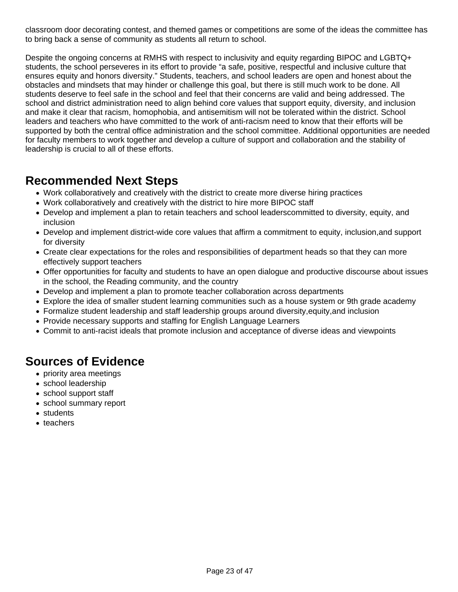classroom door decorating contest, and themed games or competitions are some of the ideas the committee has to bring back a sense of community as students all return to school.

Despite the ongoing concerns at RMHS with respect to inclusivity and equity regarding BIPOC and LGBTQ+ students, the school perseveres in its effort to provide "a safe, positive, respectful and inclusive culture that ensures equity and honors diversity." Students, teachers, and school leaders are open and honest about the obstacles and mindsets that may hinder or challenge this goal, but there is still much work to be done. All students deserve to feel safe in the school and feel that their concerns are valid and being addressed. The school and district administration need to align behind core values that support equity, diversity, and inclusion and make it clear that racism, homophobia, and antisemitism will not be tolerated within the district. School leaders and teachers who have committed to the work of anti-racism need to know that their efforts will be supported by both the central office administration and the school committee. Additional opportunities are needed for faculty members to work together and develop a culture of support and collaboration and the stability of leadership is crucial to all of these efforts.

### **Recommended Next Steps**

- Work collaboratively and creatively with the district to create more diverse hiring practices
- Work collaboratively and creatively with the district to hire more BIPOC staff
- Develop and implement a plan to retain teachers and school leaderscommitted to diversity, equity, and inclusion
- Develop and implement district-wide core values that affirm a commitment to equity, inclusion,and support for diversity
- Create clear expectations for the roles and responsibilities of department heads so that they can more effectively support teachers
- Offer opportunities for faculty and students to have an open dialogue and productive discourse about issues in the school, the Reading community, and the country
- Develop and implement a plan to promote teacher collaboration across departments
- Explore the idea of smaller student learning communities such as a house system or 9th grade academy
- Formalize student leadership and staff leadership groups around diversity,equity,and inclusion
- Provide necessary supports and staffing for English Language Learners
- Commit to anti-racist ideals that promote inclusion and acceptance of diverse ideas and viewpoints

### **Sources of Evidence**

- priority area meetings
- school leadership
- school support staff
- school summary report
- students
- teachers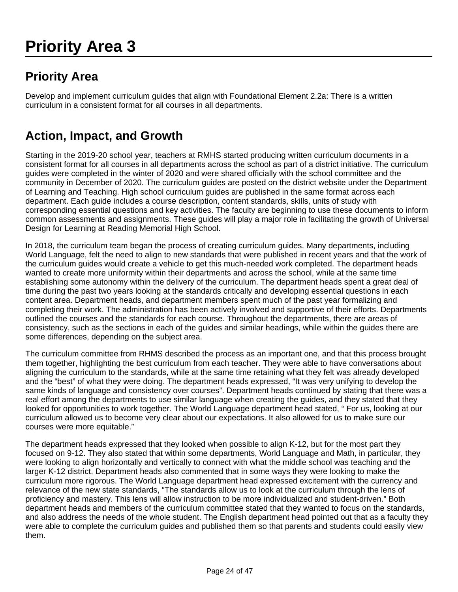# **Priority Area 3**

## **Priority Area**

Develop and implement curriculum guides that align with Foundational Element 2.2a: There is a written curriculum in a consistent format for all courses in all departments.

## **Action, Impact, and Growth**

Starting in the 2019-20 school year, teachers at RMHS started producing written curriculum documents in a consistent format for all courses in all departments across the school as part of a district initiative. The curriculum guides were completed in the winter of 2020 and were shared officially with the school committee and the community in December of 2020. The curriculum guides are posted on the district website under the Department of Learning and Teaching. High school curriculum guides are published in the same format across each department. Each guide includes a course description, content standards, skills, units of study with corresponding essential questions and key activities. The faculty are beginning to use these documents to inform common assessments and assignments. These guides will play a major role in facilitating the growth of Universal Design for Learning at Reading Memorial High School.

In 2018, the curriculum team began the process of creating curriculum guides. Many departments, including World Language, felt the need to align to new standards that were published in recent years and that the work of the curriculum guides would create a vehicle to get this much-needed work completed. The department heads wanted to create more uniformity within their departments and across the school, while at the same time establishing some autonomy within the delivery of the curriculum. The department heads spent a great deal of time during the past two years looking at the standards critically and developing essential questions in each content area. Department heads, and department members spent much of the past year formalizing and completing their work. The administration has been actively involved and supportive of their efforts. Departments outlined the courses and the standards for each course. Throughout the departments, there are areas of consistency, such as the sections in each of the guides and similar headings, while within the guides there are some differences, depending on the subject area.

The curriculum committee from RHMS described the process as an important one, and that this process brought them together, highlighting the best curriculum from each teacher. They were able to have conversations about aligning the curriculum to the standards, while at the same time retaining what they felt was already developed and the "best" of what they were doing. The department heads expressed, "It was very unifying to develop the same kinds of language and consistency over courses". Department heads continued by stating that there was a real effort among the departments to use similar language when creating the guides, and they stated that they looked for opportunities to work together. The World Language department head stated, " For us, looking at our curriculum allowed us to become very clear about our expectations. It also allowed for us to make sure our courses were more equitable."

The department heads expressed that they looked when possible to align K-12, but for the most part they focused on 9-12. They also stated that within some departments, World Language and Math, in particular, they were looking to align horizontally and vertically to connect with what the middle school was teaching and the larger K-12 district. Department heads also commented that in some ways they were looking to make the curriculum more rigorous. The World Language department head expressed excitement with the currency and relevance of the new state standards, "The standards allow us to look at the curriculum through the lens of proficiency and mastery. This lens will allow instruction to be more individualized and student-driven." Both department heads and members of the curriculum committee stated that they wanted to focus on the standards, and also address the needs of the whole student. The English department head pointed out that as a faculty they were able to complete the curriculum guides and published them so that parents and students could easily view them.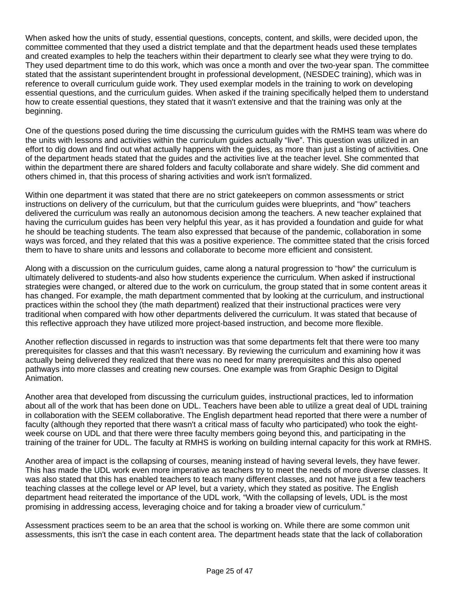When asked how the units of study, essential questions, concepts, content, and skills, were decided upon, the committee commented that they used a district template and that the department heads used these templates and created examples to help the teachers within their department to clearly see what they were trying to do. They used department time to do this work, which was once a month and over the two-year span. The committee stated that the assistant superintendent brought in professional development, (NESDEC training), which was in reference to overall curriculum guide work. They used exemplar models in the training to work on developing essential questions, and the curriculum guides. When asked if the training specifically helped them to understand how to create essential questions, they stated that it wasn't extensive and that the training was only at the beginning.

One of the questions posed during the time discussing the curriculum guides with the RMHS team was where do the units with lessons and activities within the curriculum guides actually "live". This question was utilized in an effort to dig down and find out what actually happens with the guides, as more than just a listing of activities. One of the department heads stated that the guides and the activities live at the teacher level. She commented that within the department there are shared folders and faculty collaborate and share widely. She did comment and others chimed in, that this process of sharing activities and work isn't formalized.

Within one department it was stated that there are no strict gatekeepers on common assessments or strict instructions on delivery of the curriculum, but that the curriculum guides were blueprints, and "how" teachers delivered the curriculum was really an autonomous decision among the teachers. A new teacher explained that having the curriculum guides has been very helpful this year, as it has provided a foundation and guide for what he should be teaching students. The team also expressed that because of the pandemic, collaboration in some ways was forced, and they related that this was a positive experience. The committee stated that the crisis forced them to have to share units and lessons and collaborate to become more efficient and consistent.

Along with a discussion on the curriculum guides, came along a natural progression to "how" the curriculum is ultimately delivered to students-and also how students experience the curriculum. When asked if instructional strategies were changed, or altered due to the work on curriculum, the group stated that in some content areas it has changed. For example, the math department commented that by looking at the curriculum, and instructional practices within the school they (the math department) realized that their instructional practices were very traditional when compared with how other departments delivered the curriculum. It was stated that because of this reflective approach they have utilized more project-based instruction, and become more flexible.

Another reflection discussed in regards to instruction was that some departments felt that there were too many prerequisites for classes and that this wasn't necessary. By reviewing the curriculum and examining how it was actually being delivered they realized that there was no need for many prerequisites and this also opened pathways into more classes and creating new courses. One example was from Graphic Design to Digital Animation.

Another area that developed from discussing the curriculum guides, instructional practices, led to information about all of the work that has been done on UDL. Teachers have been able to utilize a great deal of UDL training in collaboration with the SEEM collaborative. The English department head reported that there were a number of faculty (although they reported that there wasn't a critical mass of faculty who participated) who took the eightweek course on UDL and that there were three faculty members going beyond this, and participating in the training of the trainer for UDL. The faculty at RMHS is working on building internal capacity for this work at RMHS.

Another area of impact is the collapsing of courses, meaning instead of having several levels, they have fewer. This has made the UDL work even more imperative as teachers try to meet the needs of more diverse classes. It was also stated that this has enabled teachers to teach many different classes, and not have just a few teachers teaching classes at the college level or AP level, but a variety, which they stated as positive. The English department head reiterated the importance of the UDL work, "With the collapsing of levels, UDL is the most promising in addressing access, leveraging choice and for taking a broader view of curriculum."

Assessment practices seem to be an area that the school is working on. While there are some common unit assessments, this isn't the case in each content area. The department heads state that the lack of collaboration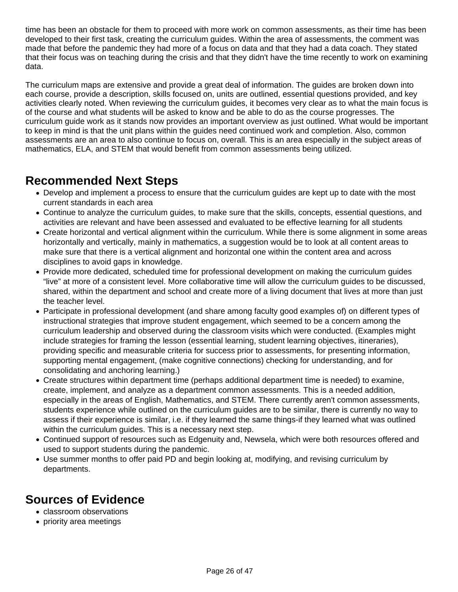time has been an obstacle for them to proceed with more work on common assessments, as their time has been developed to their first task, creating the curriculum guides. Within the area of assessments, the comment was made that before the pandemic they had more of a focus on data and that they had a data coach. They stated that their focus was on teaching during the crisis and that they didn't have the time recently to work on examining data.

The curriculum maps are extensive and provide a great deal of information. The guides are broken down into each course, provide a description, skills focused on, units are outlined, essential questions provided, and key activities clearly noted. When reviewing the curriculum guides, it becomes very clear as to what the main focus is of the course and what students will be asked to know and be able to do as the course progresses. The curriculum guide work as it stands now provides an important overview as just outlined. What would be important to keep in mind is that the unit plans within the guides need continued work and completion. Also, common assessments are an area to also continue to focus on, overall. This is an area especially in the subject areas of mathematics, ELA, and STEM that would benefit from common assessments being utilized.

### **Recommended Next Steps**

- Develop and implement a process to ensure that the curriculum guides are kept up to date with the most current standards in each area
- Continue to analyze the curriculum guides, to make sure that the skills, concepts, essential questions, and activities are relevant and have been assessed and evaluated to be effective learning for all students
- Create horizontal and vertical alignment within the curriculum. While there is some alignment in some areas horizontally and vertically, mainly in mathematics, a suggestion would be to look at all content areas to make sure that there is a vertical alignment and horizontal one within the content area and across disciplines to avoid gaps in knowledge.
- Provide more dedicated, scheduled time for professional development on making the curriculum guides "live" at more of a consistent level. More collaborative time will allow the curriculum guides to be discussed, shared, within the department and school and create more of a living document that lives at more than just the teacher level.
- Participate in professional development (and share among faculty good examples of) on different types of instructional strategies that improve student engagement, which seemed to be a concern among the curriculum leadership and observed during the classroom visits which were conducted. (Examples might include strategies for framing the lesson (essential learning, student learning objectives, itineraries), providing specific and measurable criteria for success prior to assessments, for presenting information, supporting mental engagement, (make cognitive connections) checking for understanding, and for consolidating and anchoring learning.)
- Create structures within department time (perhaps additional department time is needed) to examine, create, implement, and analyze as a department common assessments. This is a needed addition, especially in the areas of English, Mathematics, and STEM. There currently aren't common assessments, students experience while outlined on the curriculum guides are to be similar, there is currently no way to assess if their experience is similar, i.e. if they learned the same things-if they learned what was outlined within the curriculum guides. This is a necessary next step.
- Continued support of resources such as Edgenuity and, Newsela, which were both resources offered and used to support students during the pandemic.
- Use summer months to offer paid PD and begin looking at, modifying, and revising curriculum by departments.

## **Sources of Evidence**

- classroom observations
- priority area meetings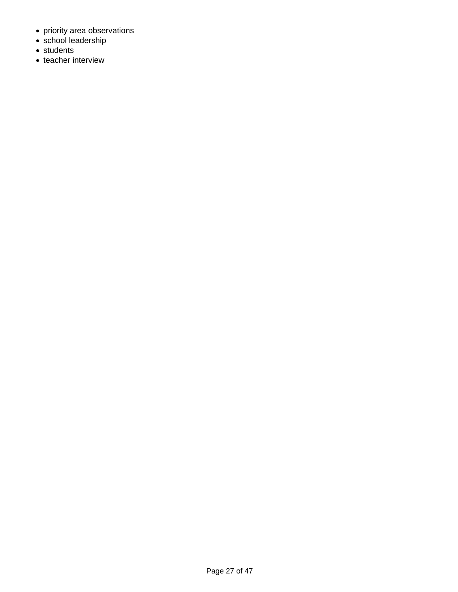- priority area observations
- school leadership
- students
- teacher interview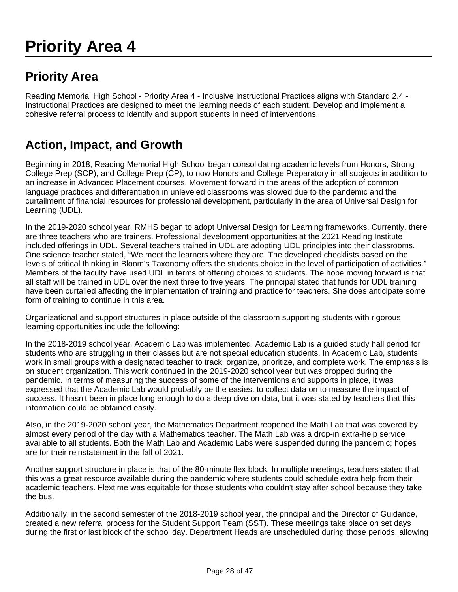# **Priority Area 4**

## **Priority Area**

Reading Memorial High School - Priority Area 4 - Inclusive Instructional Practices aligns with Standard 2.4 - Instructional Practices are designed to meet the learning needs of each student. Develop and implement a cohesive referral process to identify and support students in need of interventions.

### **Action, Impact, and Growth**

Beginning in 2018, Reading Memorial High School began consolidating academic levels from Honors, Strong College Prep (SCP), and College Prep (CP), to now Honors and College Preparatory in all subjects in addition to an increase in Advanced Placement courses. Movement forward in the areas of the adoption of common language practices and differentiation in unleveled classrooms was slowed due to the pandemic and the curtailment of financial resources for professional development, particularly in the area of Universal Design for Learning (UDL).

In the 2019-2020 school year, RMHS began to adopt Universal Design for Learning frameworks. Currently, there are three teachers who are trainers. Professional development opportunities at the 2021 Reading Institute included offerings in UDL. Several teachers trained in UDL are adopting UDL principles into their classrooms. One science teacher stated, "We meet the learners where they are. The developed checklists based on the levels of critical thinking in Bloom's Taxonomy offers the students choice in the level of participation of activities." Members of the faculty have used UDL in terms of offering choices to students. The hope moving forward is that all staff will be trained in UDL over the next three to five years. The principal stated that funds for UDL training have been curtailed affecting the implementation of training and practice for teachers. She does anticipate some form of training to continue in this area.

Organizational and support structures in place outside of the classroom supporting students with rigorous learning opportunities include the following:

In the 2018-2019 school year, Academic Lab was implemented. Academic Lab is a guided study hall period for students who are struggling in their classes but are not special education students. In Academic Lab, students work in small groups with a designated teacher to track, organize, prioritize, and complete work. The emphasis is on student organization. This work continued in the 2019-2020 school year but was dropped during the pandemic. In terms of measuring the success of some of the interventions and supports in place, it was expressed that the Academic Lab would probably be the easiest to collect data on to measure the impact of success. It hasn't been in place long enough to do a deep dive on data, but it was stated by teachers that this information could be obtained easily.

Also, in the 2019-2020 school year, the Mathematics Department reopened the Math Lab that was covered by almost every period of the day with a Mathematics teacher. The Math Lab was a drop-in extra-help service available to all students. Both the Math Lab and Academic Labs were suspended during the pandemic; hopes are for their reinstatement in the fall of 2021.

Another support structure in place is that of the 80-minute flex block. In multiple meetings, teachers stated that this was a great resource available during the pandemic where students could schedule extra help from their academic teachers. Flextime was equitable for those students who couldn't stay after school because they take the bus.

Additionally, in the second semester of the 2018-2019 school year, the principal and the Director of Guidance, created a new referral process for the Student Support Team (SST). These meetings take place on set days during the first or last block of the school day. Department Heads are unscheduled during those periods, allowing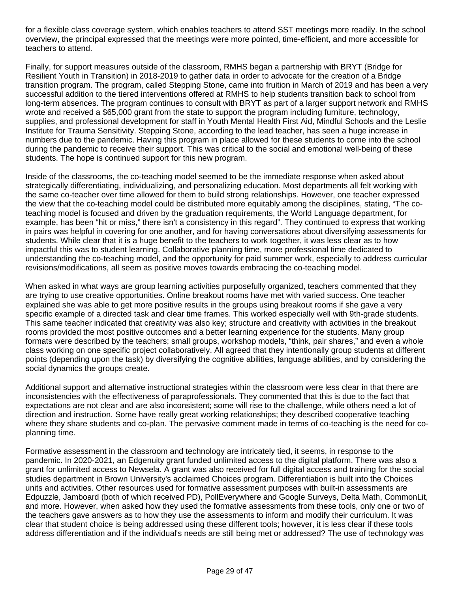for a flexible class coverage system, which enables teachers to attend SST meetings more readily. In the school overview, the principal expressed that the meetings were more pointed, time-efficient, and more accessible for teachers to attend.

Finally, for support measures outside of the classroom, RMHS began a partnership with BRYT (Bridge for Resilient Youth in Transition) in 2018-2019 to gather data in order to advocate for the creation of a Bridge transition program. The program, called Stepping Stone, came into fruition in March of 2019 and has been a very successful addition to the tiered interventions offered at RMHS to help students transition back to school from long-term absences. The program continues to consult with BRYT as part of a larger support network and RMHS wrote and received a \$65,000 grant from the state to support the program including furniture, technology, supplies, and professional development for staff in Youth Mental Health First Aid, Mindful Schools and the Leslie Institute for Trauma Sensitivity. Stepping Stone, according to the lead teacher, has seen a huge increase in numbers due to the pandemic. Having this program in place allowed for these students to come into the school during the pandemic to receive their support. This was critical to the social and emotional well-being of these students. The hope is continued support for this new program.

Inside of the classrooms, the co-teaching model seemed to be the immediate response when asked about strategically differentiating, individualizing, and personalizing education. Most departments all felt working with the same co-teacher over time allowed for them to build strong relationships. However, one teacher expressed the view that the co-teaching model could be distributed more equitably among the disciplines, stating, "The coteaching model is focused and driven by the graduation requirements, the World Language department, for example, has been "hit or miss," there isn't a consistency in this regard". They continued to express that working in pairs was helpful in covering for one another, and for having conversations about diversifying assessments for students. While clear that it is a huge benefit to the teachers to work together, it was less clear as to how impactful this was to student learning. Collaborative planning time, more professional time dedicated to understanding the co-teaching model, and the opportunity for paid summer work, especially to address curricular revisions/modifications, all seem as positive moves towards embracing the co-teaching model.

When asked in what ways are group learning activities purposefully organized, teachers commented that they are trying to use creative opportunities. Online breakout rooms have met with varied success. One teacher explained she was able to get more positive results in the groups using breakout rooms if she gave a very specific example of a directed task and clear time frames. This worked especially well with 9th-grade students. This same teacher indicated that creativity was also key; structure and creativity with activities in the breakout rooms provided the most positive outcomes and a better learning experience for the students. Many group formats were described by the teachers; small groups, workshop models, "think, pair shares," and even a whole class working on one specific project collaboratively. All agreed that they intentionally group students at different points (depending upon the task) by diversifying the cognitive abilities, language abilities, and by considering the social dynamics the groups create.

Additional support and alternative instructional strategies within the classroom were less clear in that there are inconsistencies with the effectiveness of paraprofessionals. They commented that this is due to the fact that expectations are not clear and are also inconsistent; some will rise to the challenge, while others need a lot of direction and instruction. Some have really great working relationships; they described cooperative teaching where they share students and co-plan. The pervasive comment made in terms of co-teaching is the need for coplanning time.

Formative assessment in the classroom and technology are intricately tied, it seems, in response to the pandemic. In 2020-2021, an Edgenuity grant funded unlimited access to the digital platform. There was also a grant for unlimited access to Newsela. A grant was also received for full digital access and training for the social studies department in Brown University's acclaimed Choices program. Differentiation is built into the Choices units and activities. Other resources used for formative assessment purposes with built-in assessments are Edpuzzle, Jamboard (both of which received PD), PollEverywhere and Google Surveys, Delta Math, CommonLit, and more. However, when asked how they used the formative assessments from these tools, only one or two of the teachers gave answers as to how they use the assessments to inform and modify their curriculum. It was clear that student choice is being addressed using these different tools; however, it is less clear if these tools address differentiation and if the individual's needs are still being met or addressed? The use of technology was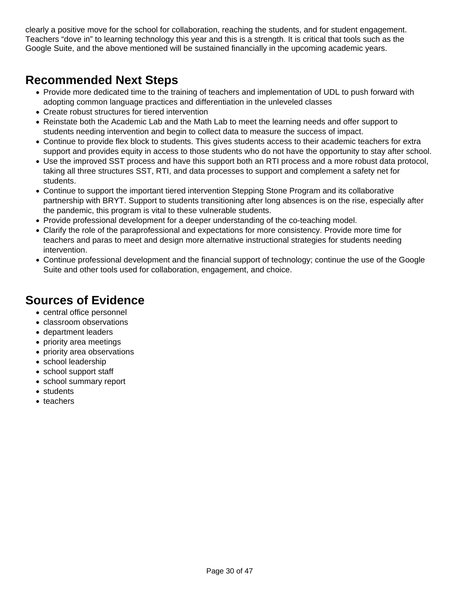clearly a positive move for the school for collaboration, reaching the students, and for student engagement. Teachers "dove in" to learning technology this year and this is a strength. It is critical that tools such as the Google Suite, and the above mentioned will be sustained financially in the upcoming academic years.

### **Recommended Next Steps**

- Provide more dedicated time to the training of teachers and implementation of UDL to push forward with adopting common language practices and differentiation in the unleveled classes
- Create robust structures for tiered intervention
- Reinstate both the Academic Lab and the Math Lab to meet the learning needs and offer support to students needing intervention and begin to collect data to measure the success of impact.
- Continue to provide flex block to students. This gives students access to their academic teachers for extra support and provides equity in access to those students who do not have the opportunity to stay after school.
- Use the improved SST process and have this support both an RTI process and a more robust data protocol, taking all three structures SST, RTI, and data processes to support and complement a safety net for students.
- Continue to support the important tiered intervention Stepping Stone Program and its collaborative partnership with BRYT. Support to students transitioning after long absences is on the rise, especially after the pandemic, this program is vital to these vulnerable students.
- Provide professional development for a deeper understanding of the co-teaching model.
- Clarify the role of the paraprofessional and expectations for more consistency. Provide more time for teachers and paras to meet and design more alternative instructional strategies for students needing intervention.
- Continue professional development and the financial support of technology; continue the use of the Google Suite and other tools used for collaboration, engagement, and choice.

### **Sources of Evidence**

- central office personnel
- classroom observations
- department leaders
- priority area meetings
- priority area observations
- school leadership
- school support staff
- school summary report
- students
- teachers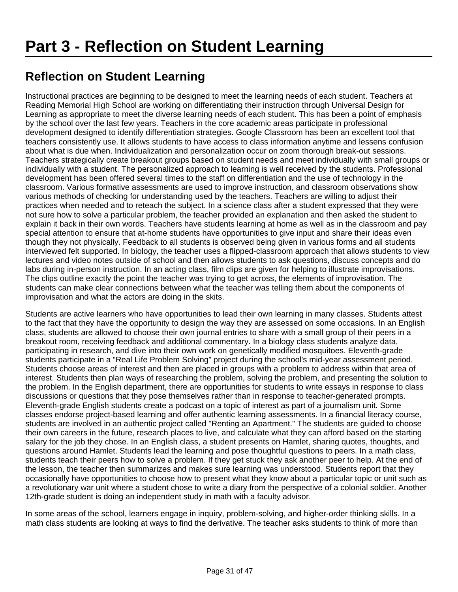# **Reflection on Student Learning**

Instructional practices are beginning to be designed to meet the learning needs of each student. Teachers at Reading Memorial High School are working on differentiating their instruction through Universal Design for Learning as appropriate to meet the diverse learning needs of each student. This has been a point of emphasis by the school over the last few years. Teachers in the core academic areas participate in professional development designed to identify differentiation strategies. Google Classroom has been an excellent tool that teachers consistently use. It allows students to have access to class information anytime and lessens confusion about what is due when. Individualization and personalization occur on zoom thorough break-out sessions. Teachers strategically create breakout groups based on student needs and meet individually with small groups or individually with a student. The personalized approach to learning is well received by the students. Professional development has been offered several times to the staff on differentiation and the use of technology in the classroom. Various formative assessments are used to improve instruction, and classroom observations show various methods of checking for understanding used by the teachers. Teachers are willing to adjust their practices when needed and to reteach the subject. In a science class after a student expressed that they were not sure how to solve a particular problem, the teacher provided an explanation and then asked the student to explain it back in their own words. Teachers have students learning at home as well as in the classroom and pay special attention to ensure that at-home students have opportunities to give input and share their ideas even though they not physically. Feedback to all students is observed being given in various forms and all students interviewed felt supported. In biology, the teacher uses a flipped-classroom approach that allows students to view lectures and video notes outside of school and then allows students to ask questions, discuss concepts and do labs during in-person instruction. In an acting class, film clips are given for helping to illustrate improvisations. The clips outline exactly the point the teacher was trying to get across, the elements of improvisation. The students can make clear connections between what the teacher was telling them about the components of improvisation and what the actors are doing in the skits.

Students are active learners who have opportunities to lead their own learning in many classes. Students attest to the fact that they have the opportunity to design the way they are assessed on some occasions. In an English class, students are allowed to choose their own journal entries to share with a small group of their peers in a breakout room, receiving feedback and additional commentary. In a biology class students analyze data, participating in research, and dive into their own work on genetically modified mosquitoes. Eleventh-grade students participate in a "Real Life Problem Solving" project during the school's mid-year assessment period. Students choose areas of interest and then are placed in groups with a problem to address within that area of interest. Students then plan ways of researching the problem, solving the problem, and presenting the solution to the problem. In the English department, there are opportunities for students to write essays in response to class discussions or questions that they pose themselves rather than in response to teacher-generated prompts. Eleventh-grade English students create a podcast on a topic of interest as part of a journalism unit. Some classes endorse project-based learning and offer authentic learning assessments. In a financial literacy course, students are involved in an authentic project called "Renting an Apartment." The students are guided to choose their own careers in the future, research places to live, and calculate what they can afford based on the starting salary for the job they chose. In an English class, a student presents on Hamlet, sharing quotes, thoughts, and questions around Hamlet. Students lead the learning and pose thoughtful questions to peers. In a math class, students teach their peers how to solve a problem. If they get stuck they ask another peer to help. At the end of the lesson, the teacher then summarizes and makes sure learning was understood. Students report that they occasionally have opportunities to choose how to present what they know about a particular topic or unit such as a revolutionary war unit where a student chose to write a diary from the perspective of a colonial soldier. Another 12th-grade student is doing an independent study in math with a faculty advisor.

In some areas of the school, learners engage in inquiry, problem-solving, and higher-order thinking skills. In a math class students are looking at ways to find the derivative. The teacher asks students to think of more than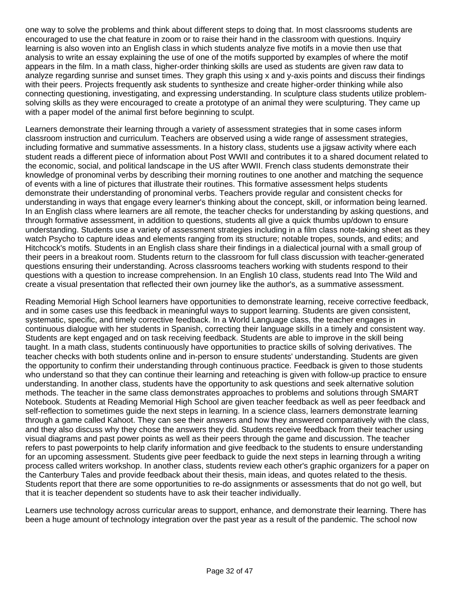one way to solve the problems and think about different steps to doing that. In most classrooms students are encouraged to use the chat feature in zoom or to raise their hand in the classroom with questions. Inquiry learning is also woven into an English class in which students analyze five motifs in a movie then use that analysis to write an essay explaining the use of one of the motifs supported by examples of where the motif appears in the film. In a math class, higher-order thinking skills are used as students are given raw data to analyze regarding sunrise and sunset times. They graph this using x and y-axis points and discuss their findings with their peers. Projects frequently ask students to synthesize and create higher-order thinking while also connecting questioning, investigating, and expressing understanding. In sculpture class students utilize problemsolving skills as they were encouraged to create a prototype of an animal they were sculpturing. They came up with a paper model of the animal first before beginning to sculpt.

Learners demonstrate their learning through a variety of assessment strategies that in some cases inform classroom instruction and curriculum. Teachers are observed using a wide range of assessment strategies, including formative and summative assessments. In a history class, students use a jigsaw activity where each student reads a different piece of information about Post WWII and contributes it to a shared document related to the economic, social, and political landscape in the US after WWII. French class students demonstrate their knowledge of pronominal verbs by describing their morning routines to one another and matching the sequence of events with a line of pictures that illustrate their routines. This formative assessment helps students demonstrate their understanding of pronominal verbs. Teachers provide regular and consistent checks for understanding in ways that engage every learner's thinking about the concept, skill, or information being learned. In an English class where learners are all remote, the teacher checks for understanding by asking questions, and through formative assessment, in addition to questions, students all give a quick thumbs up/down to ensure understanding. Students use a variety of assessment strategies including in a film class note-taking sheet as they watch Psycho to capture ideas and elements ranging from its structure; notable tropes, sounds, and edits; and Hitchcock's motifs. Students in an English class share their findings in a dialectical journal with a small group of their peers in a breakout room. Students return to the classroom for full class discussion with teacher-generated questions ensuring their understanding. Across classrooms teachers working with students respond to their questions with a question to increase comprehension. In an English 10 class, students read Into The Wild and create a visual presentation that reflected their own journey like the author's, as a summative assessment.

Reading Memorial High School learners have opportunities to demonstrate learning, receive corrective feedback, and in some cases use this feedback in meaningful ways to support learning. Students are given consistent, systematic, specific, and timely corrective feedback. In a World Language class, the teacher engages in continuous dialogue with her students in Spanish, correcting their language skills in a timely and consistent way. Students are kept engaged and on task receiving feedback. Students are able to improve in the skill being taught. In a math class, students continuously have opportunities to practice skills of solving derivatives. The teacher checks with both students online and in-person to ensure students' understanding. Students are given the opportunity to confirm their understanding through continuous practice. Feedback is given to those students who understand so that they can continue their learning and reteaching is given with follow-up practice to ensure understanding. In another class, students have the opportunity to ask questions and seek alternative solution methods. The teacher in the same class demonstrates approaches to problems and solutions through SMART Notebook. Students at Reading Memorial High School are given teacher feedback as well as peer feedback and self-reflection to sometimes guide the next steps in learning. In a science class, learners demonstrate learning through a game called Kahoot. They can see their answers and how they answered comparatively with the class, and they also discuss why they chose the answers they did. Students receive feedback from their teacher using visual diagrams and past power points as well as their peers through the game and discussion. The teacher refers to past powerpoints to help clarify information and give feedback to the students to ensure understanding for an upcoming assessment. Students give peer feedback to guide the next steps in learning through a writing process called writers workshop. In another class, students review each other's graphic organizers for a paper on the Canterbury Tales and provide feedback about their thesis, main ideas, and quotes related to the thesis. Students report that there are some opportunities to re-do assignments or assessments that do not go well, but that it is teacher dependent so students have to ask their teacher individually.

Learners use technology across curricular areas to support, enhance, and demonstrate their learning. There has been a huge amount of technology integration over the past year as a result of the pandemic. The school now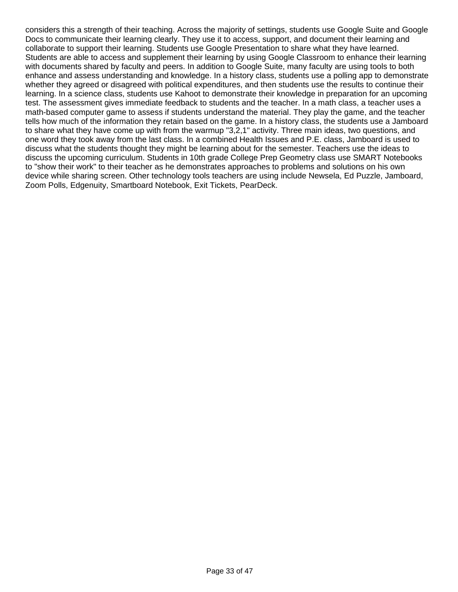considers this a strength of their teaching. Across the majority of settings, students use Google Suite and Google Docs to communicate their learning clearly. They use it to access, support, and document their learning and collaborate to support their learning. Students use Google Presentation to share what they have learned. Students are able to access and supplement their learning by using Google Classroom to enhance their learning with documents shared by faculty and peers. In addition to Google Suite, many faculty are using tools to both enhance and assess understanding and knowledge. In a history class, students use a polling app to demonstrate whether they agreed or disagreed with political expenditures, and then students use the results to continue their learning. In a science class, students use Kahoot to demonstrate their knowledge in preparation for an upcoming test. The assessment gives immediate feedback to students and the teacher. In a math class, a teacher uses a math-based computer game to assess if students understand the material. They play the game, and the teacher tells how much of the information they retain based on the game. In a history class, the students use a Jamboard to share what they have come up with from the warmup "3,2,1" activity. Three main ideas, two questions, and one word they took away from the last class. In a combined Health Issues and P.E. class, Jamboard is used to discuss what the students thought they might be learning about for the semester. Teachers use the ideas to discuss the upcoming curriculum. Students in 10th grade College Prep Geometry class use SMART Notebooks to "show their work" to their teacher as he demonstrates approaches to problems and solutions on his own device while sharing screen. Other technology tools teachers are using include Newsela, Ed Puzzle, Jamboard, Zoom Polls, Edgenuity, Smartboard Notebook, Exit Tickets, PearDeck.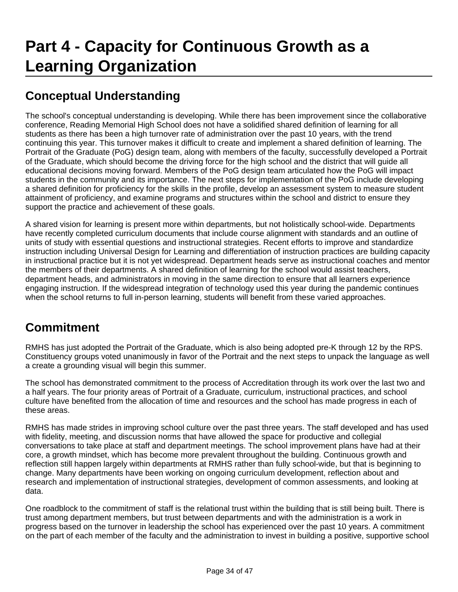# **Conceptual Understanding**

The school's conceptual understanding is developing. While there has been improvement since the collaborative conference, Reading Memorial High School does not have a solidified shared definition of learning for all students as there has been a high turnover rate of administration over the past 10 years, with the trend continuing this year. This turnover makes it difficult to create and implement a shared definition of learning. The Portrait of the Graduate (PoG) design team, along with members of the faculty, successfully developed a Portrait of the Graduate, which should become the driving force for the high school and the district that will guide all educational decisions moving forward. Members of the PoG design team articulated how the PoG will impact students in the community and its importance. The next steps for implementation of the PoG include developing a shared definition for proficiency for the skills in the profile, develop an assessment system to measure student attainment of proficiency, and examine programs and structures within the school and district to ensure they support the practice and achievement of these goals.

A shared vision for learning is present more within departments, but not holistically school-wide. Departments have recently completed curriculum documents that include course alignment with standards and an outline of units of study with essential questions and instructional strategies. Recent efforts to improve and standardize instruction including Universal Design for Learning and differentiation of instruction practices are building capacity in instructional practice but it is not yet widespread. Department heads serve as instructional coaches and mentor the members of their departments. A shared definition of learning for the school would assist teachers, department heads, and administrators in moving in the same direction to ensure that all learners experience engaging instruction. If the widespread integration of technology used this year during the pandemic continues when the school returns to full in-person learning, students will benefit from these varied approaches.

## **Commitment**

RMHS has just adopted the Portrait of the Graduate, which is also being adopted pre-K through 12 by the RPS. Constituency groups voted unanimously in favor of the Portrait and the next steps to unpack the language as well a create a grounding visual will begin this summer.

The school has demonstrated commitment to the process of Accreditation through its work over the last two and a half years. The four priority areas of Portrait of a Graduate, curriculum, instructional practices, and school culture have benefited from the allocation of time and resources and the school has made progress in each of these areas.

RMHS has made strides in improving school culture over the past three years. The staff developed and has used with fidelity, meeting, and discussion norms that have allowed the space for productive and collegial conversations to take place at staff and department meetings. The school improvement plans have had at their core, a growth mindset, which has become more prevalent throughout the building. Continuous growth and reflection still happen largely within departments at RMHS rather than fully school-wide, but that is beginning to change. Many departments have been working on ongoing curriculum development, reflection about and research and implementation of instructional strategies, development of common assessments, and looking at data.

One roadblock to the commitment of staff is the relational trust within the building that is still being built. There is trust among department members, but trust between departments and with the administration is a work in progress based on the turnover in leadership the school has experienced over the past 10 years. A commitment on the part of each member of the faculty and the administration to invest in building a positive, supportive school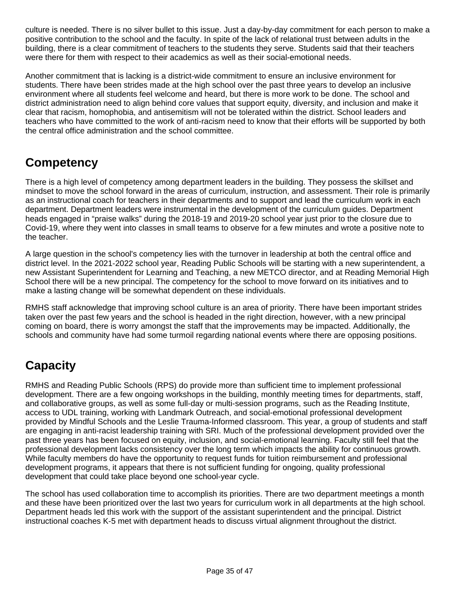culture is needed. There is no silver bullet to this issue. Just a day-by-day commitment for each person to make a positive contribution to the school and the faculty. In spite of the lack of relational trust between adults in the building, there is a clear commitment of teachers to the students they serve. Students said that their teachers were there for them with respect to their academics as well as their social-emotional needs.

Another commitment that is lacking is a district-wide commitment to ensure an inclusive environment for students. There have been strides made at the high school over the past three years to develop an inclusive environment where all students feel welcome and heard, but there is more work to be done. The school and district administration need to align behind core values that support equity, diversity, and inclusion and make it clear that racism, homophobia, and antisemitism will not be tolerated within the district. School leaders and teachers who have committed to the work of anti-racism need to know that their efforts will be supported by both the central office administration and the school committee.

## **Competency**

There is a high level of competency among department leaders in the building. They possess the skillset and mindset to move the school forward in the areas of curriculum, instruction, and assessment. Their role is primarily as an instructional coach for teachers in their departments and to support and lead the curriculum work in each department. Department leaders were instrumental in the development of the curriculum guides. Department heads engaged in "praise walks" during the 2018-19 and 2019-20 school year just prior to the closure due to Covid-19, where they went into classes in small teams to observe for a few minutes and wrote a positive note to the teacher.

A large question in the school's competency lies with the turnover in leadership at both the central office and district level. In the 2021-2022 school year, Reading Public Schools will be starting with a new superintendent, a new Assistant Superintendent for Learning and Teaching, a new METCO director, and at Reading Memorial High School there will be a new principal. The competency for the school to move forward on its initiatives and to make a lasting change will be somewhat dependent on these individuals.

RMHS staff acknowledge that improving school culture is an area of priority. There have been important strides taken over the past few years and the school is headed in the right direction, however, with a new principal coming on board, there is worry amongst the staff that the improvements may be impacted. Additionally, the schools and community have had some turmoil regarding national events where there are opposing positions.

# **Capacity**

RMHS and Reading Public Schools (RPS) do provide more than sufficient time to implement professional development. There are a few ongoing workshops in the building, monthly meeting times for departments, staff, and collaborative groups, as well as some full-day or multi-session programs, such as the Reading Institute, access to UDL training, working with Landmark Outreach, and social-emotional professional development provided by Mindful Schools and the Leslie Trauma-Informed classroom. This year, a group of students and staff are engaging in anti-racist leadership training with SRI. Much of the professional development provided over the past three years has been focused on equity, inclusion, and social-emotional learning. Faculty still feel that the professional development lacks consistency over the long term which impacts the ability for continuous growth. While faculty members do have the opportunity to request funds for tuition reimbursement and professional development programs, it appears that there is not sufficient funding for ongoing, quality professional development that could take place beyond one school-year cycle.

The school has used collaboration time to accomplish its priorities. There are two department meetings a month and these have been prioritized over the last two years for curriculum work in all departments at the high school. Department heads led this work with the support of the assistant superintendent and the principal. District instructional coaches K-5 met with department heads to discuss virtual alignment throughout the district.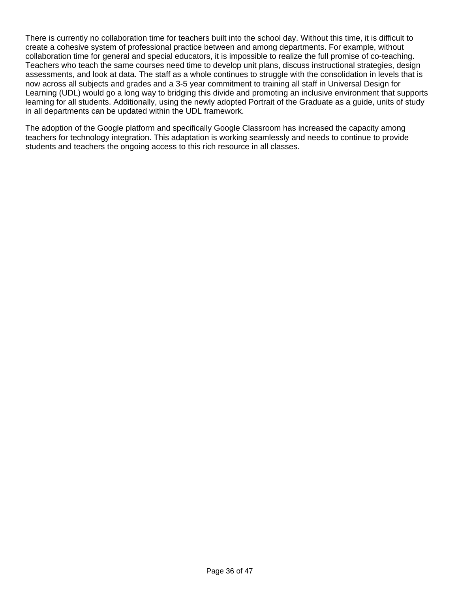There is currently no collaboration time for teachers built into the school day. Without this time, it is difficult to create a cohesive system of professional practice between and among departments. For example, without collaboration time for general and special educators, it is impossible to realize the full promise of co-teaching. Teachers who teach the same courses need time to develop unit plans, discuss instructional strategies, design assessments, and look at data. The staff as a whole continues to struggle with the consolidation in levels that is now across all subjects and grades and a 3-5 year commitment to training all staff in Universal Design for Learning (UDL) would go a long way to bridging this divide and promoting an inclusive environment that supports learning for all students. Additionally, using the newly adopted Portrait of the Graduate as a guide, units of study in all departments can be updated within the UDL framework.

The adoption of the Google platform and specifically Google Classroom has increased the capacity among teachers for technology integration. This adaptation is working seamlessly and needs to continue to provide students and teachers the ongoing access to this rich resource in all classes.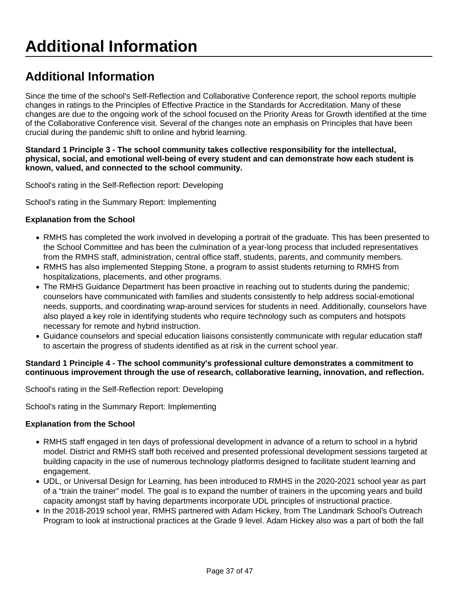# **Additional Information**

Since the time of the school's Self-Reflection and Collaborative Conference report, the school reports multiple changes in ratings to the Principles of Effective Practice in the Standards for Accreditation. Many of these changes are due to the ongoing work of the school focused on the Priority Areas for Growth identified at the time of the Collaborative Conference visit. Several of the changes note an emphasis on Principles that have been crucial during the pandemic shift to online and hybrid learning.

#### **Standard 1 Principle 3 - The school community takes collective responsibility for the intellectual, physical, social, and emotional well-being of every student and can demonstrate how each student is known, valued, and connected to the school community.**

School's rating in the Self-Reflection report: Developing

School's rating in the Summary Report: Implementing

#### **Explanation from the School**

- RMHS has completed the work involved in developing a portrait of the graduate. This has been presented to the School Committee and has been the culmination of a year-long process that included representatives from the RMHS staff, administration, central office staff, students, parents, and community members.
- RMHS has also implemented Stepping Stone, a program to assist students returning to RMHS from hospitalizations, placements, and other programs.
- The RMHS Guidance Department has been proactive in reaching out to students during the pandemic; counselors have communicated with families and students consistently to help address social-emotional needs, supports, and coordinating wrap-around services for students in need. Additionally, counselors have also played a key role in identifying students who require technology such as computers and hotspots necessary for remote and hybrid instruction.
- Guidance counselors and special education liaisons consistently communicate with regular education staff to ascertain the progress of students identified as at risk in the current school year.

#### **Standard 1 Principle 4 - The school community's professional culture demonstrates a commitment to continuous improvement through the use of research, collaborative learning, innovation, and reflection.**

School's rating in the Self-Reflection report: Developing

School's rating in the Summary Report: Implementing

#### **Explanation from the School**

- RMHS staff engaged in ten days of professional development in advance of a return to school in a hybrid model. District and RMHS staff both received and presented professional development sessions targeted at building capacity in the use of numerous technology platforms designed to facilitate student learning and engagement.
- UDL, or Universal Design for Learning, has been introduced to RMHS in the 2020-2021 school year as part of a "train the trainer" model. The goal is to expand the number of trainers in the upcoming years and build capacity amongst staff by having departments incorporate UDL principles of instructional practice.
- In the 2018-2019 school year, RMHS partnered with Adam Hickey, from The Landmark School's Outreach Program to look at instructional practices at the Grade 9 level. Adam Hickey also was a part of both the fall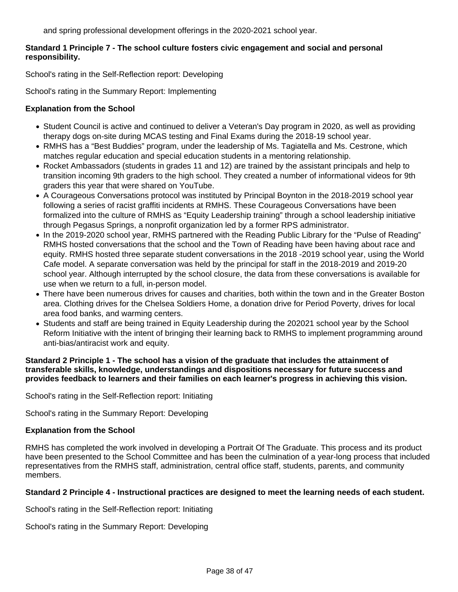and spring professional development offerings in the 2020-2021 school year.

#### **Standard 1 Principle 7 - The school culture fosters civic engagement and social and personal responsibility.**

School's rating in the Self-Reflection report: Developing

School's rating in the Summary Report: Implementing

#### **Explanation from the School**

- Student Council is active and continued to deliver a Veteran's Day program in 2020, as well as providing therapy dogs on-site during MCAS testing and Final Exams during the 2018-19 school year.
- RMHS has a "Best Buddies" program, under the leadership of Ms. Tagiatella and Ms. Cestrone, which matches regular education and special education students in a mentoring relationship.
- Rocket Ambassadors (students in grades 11 and 12) are trained by the assistant principals and help to transition incoming 9th graders to the high school. They created a number of informational videos for 9th graders this year that were shared on YouTube.
- A Courageous Conversations protocol was instituted by Principal Boynton in the 2018-2019 school year following a series of racist graffiti incidents at RMHS. These Courageous Conversations have been formalized into the culture of RMHS as "Equity Leadership training" through a school leadership initiative through Pegasus Springs, a nonprofit organization led by a former RPS administrator.
- In the 2019-2020 school year, RMHS partnered with the Reading Public Library for the "Pulse of Reading" RMHS hosted conversations that the school and the Town of Reading have been having about race and equity. RMHS hosted three separate student conversations in the 2018 -2019 school year, using the World Cafe model. A separate conversation was held by the principal for staff in the 2018-2019 and 2019-20 school year. Although interrupted by the school closure, the data from these conversations is available for use when we return to a full, in-person model.
- There have been numerous drives for causes and charities, both within the town and in the Greater Boston area. Clothing drives for the Chelsea Soldiers Home, a donation drive for Period Poverty, drives for local area food banks, and warming centers.
- Students and staff are being trained in Equity Leadership during the 202021 school year by the School Reform Initiative with the intent of bringing their learning back to RMHS to implement programming around anti-bias/antiracist work and equity.

#### **Standard 2 Principle 1 - The school has a vision of the graduate that includes the attainment of transferable skills, knowledge, understandings and dispositions necessary for future success and provides feedback to learners and their families on each learner's progress in achieving this vision.**

School's rating in the Self-Reflection report: Initiating

School's rating in the Summary Report: Developing

#### **Explanation from the School**

RMHS has completed the work involved in developing a Portrait Of The Graduate. This process and its product have been presented to the School Committee and has been the culmination of a year-long process that included representatives from the RMHS staff, administration, central office staff, students, parents, and community members.

#### **Standard 2 Principle 4 - Instructional practices are designed to meet the learning needs of each student.**

School's rating in the Self-Reflection report: Initiating

School's rating in the Summary Report: Developing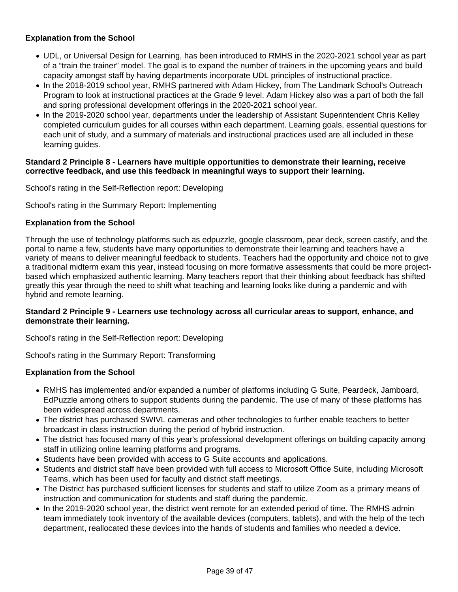#### **Explanation from the School**

- UDL, or Universal Design for Learning, has been introduced to RMHS in the 2020-2021 school year as part of a "train the trainer" model. The goal is to expand the number of trainers in the upcoming years and build capacity amongst staff by having departments incorporate UDL principles of instructional practice.
- In the 2018-2019 school year, RMHS partnered with Adam Hickey, from The Landmark School's Outreach Program to look at instructional practices at the Grade 9 level. Adam Hickey also was a part of both the fall and spring professional development offerings in the 2020-2021 school year.
- In the 2019-2020 school year, departments under the leadership of Assistant Superintendent Chris Kelley completed curriculum guides for all courses within each department. Learning goals, essential questions for each unit of study, and a summary of materials and instructional practices used are all included in these learning guides.

#### **Standard 2 Principle 8 - Learners have multiple opportunities to demonstrate their learning, receive corrective feedback, and use this feedback in meaningful ways to support their learning.**

School's rating in the Self-Reflection report: Developing

School's rating in the Summary Report: Implementing

#### **Explanation from the School**

Through the use of technology platforms such as edpuzzle, google classroom, pear deck, screen castify, and the portal to name a few, students have many opportunities to demonstrate their learning and teachers have a variety of means to deliver meaningful feedback to students. Teachers had the opportunity and choice not to give a traditional midterm exam this year, instead focusing on more formative assessments that could be more projectbased which emphasized authentic learning. Many teachers report that their thinking about feedback has shifted greatly this year through the need to shift what teaching and learning looks like during a pandemic and with hybrid and remote learning.

#### **Standard 2 Principle 9 - Learners use technology across all curricular areas to support, enhance, and demonstrate their learning.**

School's rating in the Self-Reflection report: Developing

School's rating in the Summary Report: Transforming

#### **Explanation from the School**

- RMHS has implemented and/or expanded a number of platforms including G Suite, Peardeck, Jamboard, EdPuzzle among others to support students during the pandemic. The use of many of these platforms has been widespread across departments.
- The district has purchased SWIVL cameras and other technologies to further enable teachers to better broadcast in class instruction during the period of hybrid instruction.
- The district has focused many of this year's professional development offerings on building capacity among staff in utilizing online learning platforms and programs.
- Students have been provided with access to G Suite accounts and applications.
- Students and district staff have been provided with full access to Microsoft Office Suite, including Microsoft Teams, which has been used for faculty and district staff meetings.
- The District has purchased sufficient licenses for students and staff to utilize Zoom as a primary means of instruction and communication for students and staff during the pandemic.
- In the 2019-2020 school year, the district went remote for an extended period of time. The RMHS admin team immediately took inventory of the available devices (computers, tablets), and with the help of the tech department, reallocated these devices into the hands of students and families who needed a device.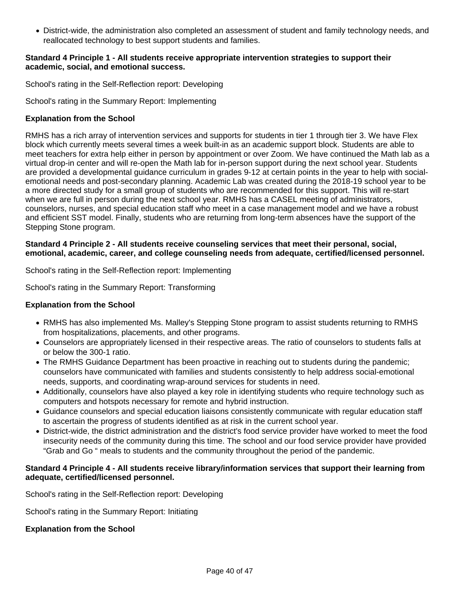District-wide, the administration also completed an assessment of student and family technology needs, and reallocated technology to best support students and families.

#### **Standard 4 Principle 1 - All students receive appropriate intervention strategies to support their academic, social, and emotional success.**

School's rating in the Self-Reflection report: Developing

School's rating in the Summary Report: Implementing

#### **Explanation from the School**

RMHS has a rich array of intervention services and supports for students in tier 1 through tier 3. We have Flex block which currently meets several times a week built-in as an academic support block. Students are able to meet teachers for extra help either in person by appointment or over Zoom. We have continued the Math lab as a virtual drop-in center and will re-open the Math lab for in-person support during the next school year. Students are provided a developmental guidance curriculum in grades 9-12 at certain points in the year to help with socialemotional needs and post-secondary planning. Academic Lab was created during the 2018-19 school year to be a more directed study for a small group of students who are recommended for this support. This will re-start when we are full in person during the next school year. RMHS has a CASEL meeting of administrators, counselors, nurses, and special education staff who meet in a case management model and we have a robust and efficient SST model. Finally, students who are returning from long-term absences have the support of the Stepping Stone program.

#### **Standard 4 Principle 2 - All students receive counseling services that meet their personal, social, emotional, academic, career, and college counseling needs from adequate, certified/licensed personnel.**

School's rating in the Self-Reflection report: Implementing

School's rating in the Summary Report: Transforming

#### **Explanation from the School**

- RMHS has also implemented Ms. Malley's Stepping Stone program to assist students returning to RMHS from hospitalizations, placements, and other programs.
- Counselors are appropriately licensed in their respective areas. The ratio of counselors to students falls at or below the 300-1 ratio.
- The RMHS Guidance Department has been proactive in reaching out to students during the pandemic; counselors have communicated with families and students consistently to help address social-emotional needs, supports, and coordinating wrap-around services for students in need.
- Additionally, counselors have also played a key role in identifying students who require technology such as computers and hotspots necessary for remote and hybrid instruction.
- Guidance counselors and special education liaisons consistently communicate with regular education staff to ascertain the progress of students identified as at risk in the current school year.
- District-wide, the district administration and the district's food service provider have worked to meet the food insecurity needs of the community during this time. The school and our food service provider have provided "Grab and Go " meals to students and the community throughout the period of the pandemic.

#### **Standard 4 Principle 4 - All students receive library/information services that support their learning from adequate, certified/licensed personnel.**

School's rating in the Self-Reflection report: Developing

School's rating in the Summary Report: Initiating

#### **Explanation from the School**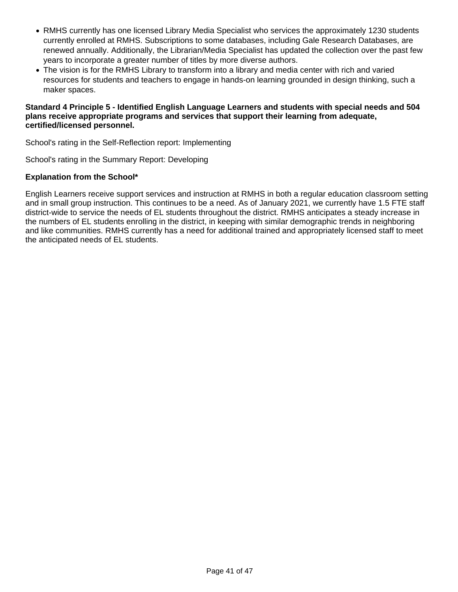- RMHS currently has one licensed Library Media Specialist who services the approximately 1230 students currently enrolled at RMHS. Subscriptions to some databases, including Gale Research Databases, are renewed annually. Additionally, the Librarian/Media Specialist has updated the collection over the past few years to incorporate a greater number of titles by more diverse authors.
- The vision is for the RMHS Library to transform into a library and media center with rich and varied resources for students and teachers to engage in hands-on learning grounded in design thinking, such a maker spaces.

#### **Standard 4 Principle 5 - Identified English Language Learners and students with special needs and 504 plans receive appropriate programs and services that support their learning from adequate, certified/licensed personnel.**

School's rating in the Self-Reflection report: Implementing

School's rating in the Summary Report: Developing

#### **Explanation from the School\***

English Learners receive support services and instruction at RMHS in both a regular education classroom setting and in small group instruction. This continues to be a need. As of January 2021, we currently have 1.5 FTE staff district-wide to service the needs of EL students throughout the district. RMHS anticipates a steady increase in the numbers of EL students enrolling in the district, in keeping with similar demographic trends in neighboring and like communities. RMHS currently has a need for additional trained and appropriately licensed staff to meet the anticipated needs of EL students.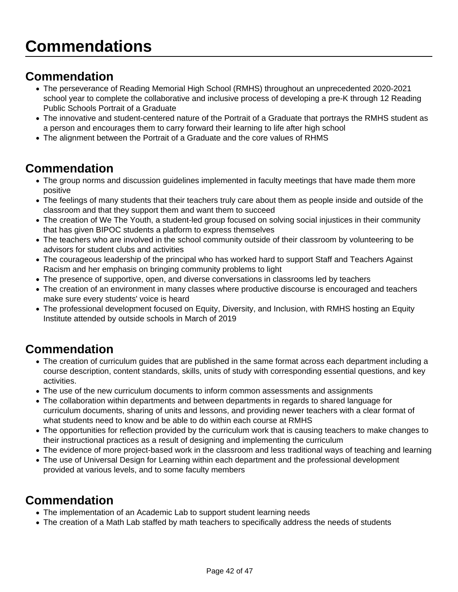## **Commendation**

- The perseverance of Reading Memorial High School (RMHS) throughout an unprecedented 2020-2021 school year to complete the collaborative and inclusive process of developing a pre-K through 12 Reading Public Schools Portrait of a Graduate
- The innovative and student-centered nature of the Portrait of a Graduate that portrays the RMHS student as a person and encourages them to carry forward their learning to life after high school
- The alignment between the Portrait of a Graduate and the core values of RHMS

### **Commendation**

- The group norms and discussion guidelines implemented in faculty meetings that have made them more positive
- The feelings of many students that their teachers truly care about them as people inside and outside of the classroom and that they support them and want them to succeed
- The creation of We The Youth, a student-led group focused on solving social injustices in their community that has given BIPOC students a platform to express themselves
- The teachers who are involved in the school community outside of their classroom by volunteering to be advisors for student clubs and activities
- The courageous leadership of the principal who has worked hard to support Staff and Teachers Against Racism and her emphasis on bringing community problems to light
- The presence of supportive, open, and diverse conversations in classrooms led by teachers
- The creation of an environment in many classes where productive discourse is encouraged and teachers make sure every students' voice is heard
- The professional development focused on Equity, Diversity, and Inclusion, with RMHS hosting an Equity Institute attended by outside schools in March of 2019

## **Commendation**

- The creation of curriculum guides that are published in the same format across each department including a course description, content standards, skills, units of study with corresponding essential questions, and key activities.
- The use of the new curriculum documents to inform common assessments and assignments
- The collaboration within departments and between departments in regards to shared language for curriculum documents, sharing of units and lessons, and providing newer teachers with a clear format of what students need to know and be able to do within each course at RMHS
- The opportunities for reflection provided by the curriculum work that is causing teachers to make changes to their instructional practices as a result of designing and implementing the curriculum
- The evidence of more project-based work in the classroom and less traditional ways of teaching and learning
- The use of Universal Design for Learning within each department and the professional development provided at various levels, and to some faculty members

## **Commendation**

- The implementation of an Academic Lab to support student learning needs
- The creation of a Math Lab staffed by math teachers to specifically address the needs of students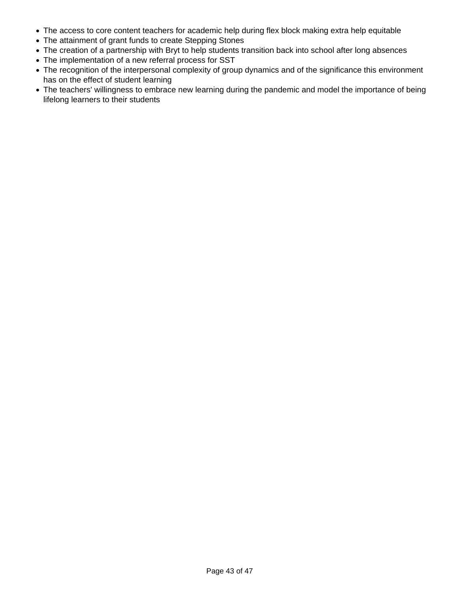- The access to core content teachers for academic help during flex block making extra help equitable
- The attainment of grant funds to create Stepping Stones
- The creation of a partnership with Bryt to help students transition back into school after long absences
- The implementation of a new referral process for SST
- The recognition of the interpersonal complexity of group dynamics and of the significance this environment has on the effect of student learning
- The teachers' willingness to embrace new learning during the pandemic and model the importance of being lifelong learners to their students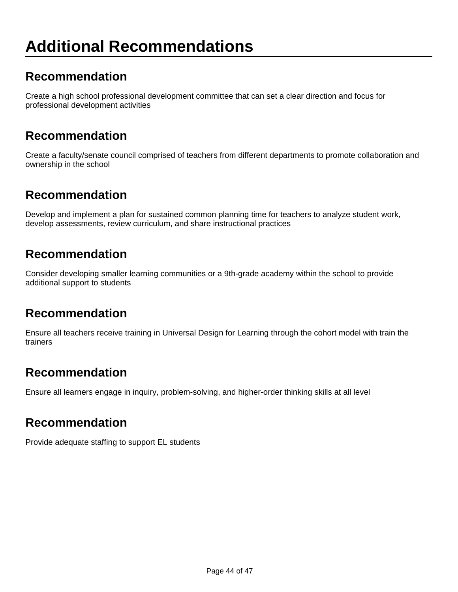# **Additional Recommendations**

### **Recommendation**

Create a high school professional development committee that can set a clear direction and focus for professional development activities

### **Recommendation**

Create a faculty/senate council comprised of teachers from different departments to promote collaboration and ownership in the school

### **Recommendation**

Develop and implement a plan for sustained common planning time for teachers to analyze student work, develop assessments, review curriculum, and share instructional practices

#### **Recommendation**

Consider developing smaller learning communities or a 9th-grade academy within the school to provide additional support to students

### **Recommendation**

Ensure all teachers receive training in Universal Design for Learning through the cohort model with train the trainers

### **Recommendation**

Ensure all learners engage in inquiry, problem-solving, and higher-order thinking skills at all level

#### **Recommendation**

Provide adequate staffing to support EL students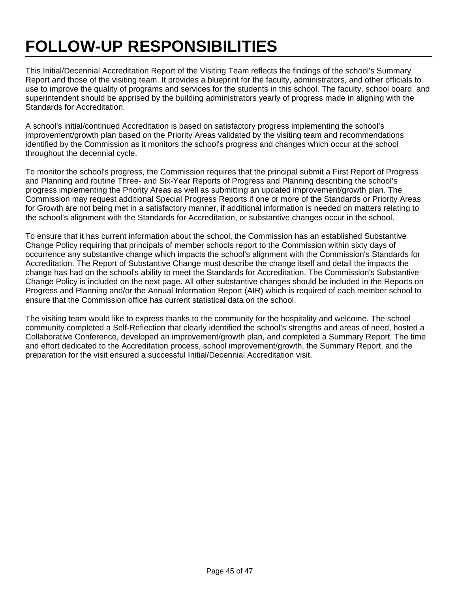# **FOLLOW-UP RESPONSIBILITIES**

This Initial/Decennial Accreditation Report of the Visiting Team reflects the findings of the school's Summary Report and those of the visiting team. It provides a blueprint for the faculty, administrators, and other officials to use to improve the quality of programs and services for the students in this school. The faculty, school board, and superintendent should be apprised by the building administrators yearly of progress made in aligning with the Standards for Accreditation.

A school's initial/continued Accreditation is based on satisfactory progress implementing the school's improvement/growth plan based on the Priority Areas validated by the visiting team and recommendations identified by the Commission as it monitors the school's progress and changes which occur at the school throughout the decennial cycle.

To monitor the school's progress, the Commission requires that the principal submit a First Report of Progress and Planning and routine Three- and Six-Year Reports of Progress and Planning describing the school's progress implementing the Priority Areas as well as submitting an updated improvement/growth plan. The Commission may request additional Special Progress Reports if one or more of the Standards or Priority Areas for Growth are not being met in a satisfactory manner, if additional information is needed on matters relating to the school's alignment with the Standards for Accreditation, or substantive changes occur in the school.

To ensure that it has current information about the school, the Commission has an established Substantive Change Policy requiring that principals of member schools report to the Commission within sixty days of occurrence any substantive change which impacts the school's alignment with the Commission's Standards for Accreditation. The Report of Substantive Change must describe the change itself and detail the impacts the change has had on the school's ability to meet the Standards for Accreditation. The Commission's Substantive Change Policy is included on the next page. All other substantive changes should be included in the Reports on Progress and Planning and/or the Annual Information Report (AIR) which is required of each member school to ensure that the Commission office has current statistical data on the school.

The visiting team would like to express thanks to the community for the hospitality and welcome. The school community completed a Self-Reflection that clearly identified the school's strengths and areas of need, hosted a Collaborative Conference, developed an improvement/growth plan, and completed a Summary Report. The time and effort dedicated to the Accreditation process, school improvement/growth, the Summary Report, and the preparation for the visit ensured a successful Initial/Decennial Accreditation visit.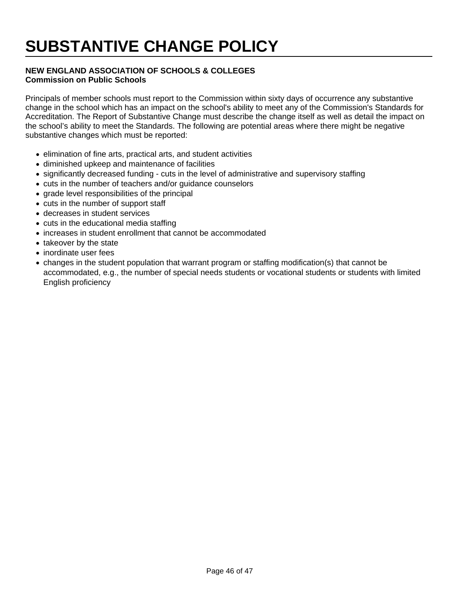# **SUBSTANTIVE CHANGE POLICY**

#### **NEW ENGLAND ASSOCIATION OF SCHOOLS & COLLEGES Commission on Public Schools**

Principals of member schools must report to the Commission within sixty days of occurrence any substantive change in the school which has an impact on the school's ability to meet any of the Commission's Standards for Accreditation. The Report of Substantive Change must describe the change itself as well as detail the impact on the school's ability to meet the Standards. The following are potential areas where there might be negative substantive changes which must be reported:

- elimination of fine arts, practical arts, and student activities
- diminished upkeep and maintenance of facilities
- significantly decreased funding cuts in the level of administrative and supervisory staffing
- cuts in the number of teachers and/or guidance counselors
- grade level responsibilities of the principal
- cuts in the number of support staff
- decreases in student services
- cuts in the educational media staffing
- increases in student enrollment that cannot be accommodated
- takeover by the state
- inordinate user fees
- changes in the student population that warrant program or staffing modification(s) that cannot be accommodated, e.g., the number of special needs students or vocational students or students with limited English proficiency